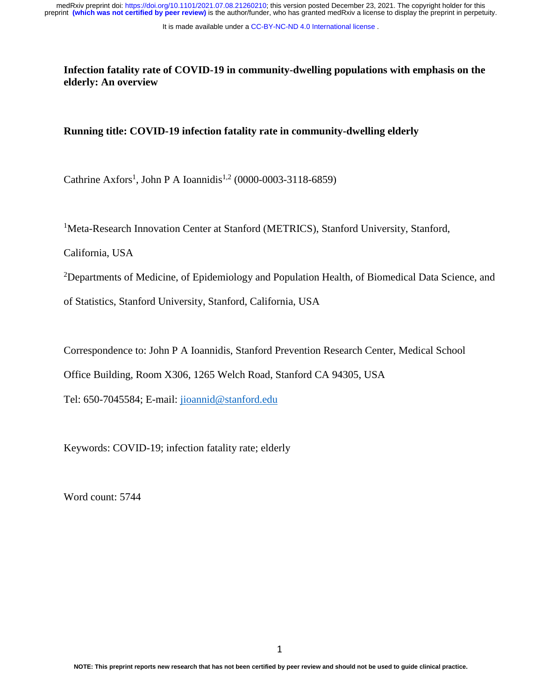It is made available under a [CC-BY-NC-ND 4.0 International license](http://creativecommons.org/licenses/by-nc-nd/4.0/) .

**Infection fatality rate of COVID-19 in community-dwelling populations with emphasis on the elderly: An overview**

## **Running title: COVID-19 infection fatality rate in community-dwelling elderly**

Cathrine Axfors<sup>1</sup>, John P A Ioannidis<sup>1,2</sup> (0000-0003-3118-6859)

<sup>1</sup>Meta-Research Innovation Center at Stanford (METRICS), Stanford University, Stanford,

California, USA

<sup>2</sup>Departments of Medicine, of Epidemiology and Population Health, of Biomedical Data Science, and

of Statistics, Stanford University, Stanford, California, USA

Correspondence to: John P A Ioannidis, Stanford Prevention Research Center, Medical School

Office Building, Room X306, 1265 Welch Road, Stanford CA 94305, USA

Tel: 650-7045584; E-mail: [jioannid@stanford.edu](mailto:jioannid@stanford.edu)

Keywords: COVID-19; infection fatality rate; elderly

Word count: 5744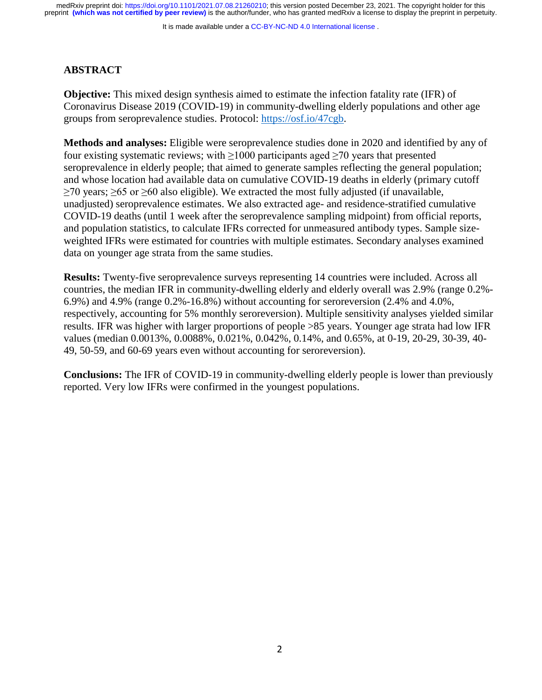It is made available under a CC-BY-NC-ND 4.0 International license.

# **ABSTRACT**

**Objective:** This mixed design synthesis aimed to estimate the infection fatality rate (IFR) of Coronavirus Disease 2019 (COVID-19) in community-dwelling elderly populations and other age groups from seroprevalence studies. Protocol: [https://osf.io/47cgb.](https://osf.io/47cgb)

**Methods and analyses:** Eligible were seroprevalence studies done in 2020 and identified by any of four existing systematic reviews; with  $\geq 1000$  participants aged  $\geq 70$  years that presented seroprevalence in elderly people; that aimed to generate samples reflecting the general population; and whose location had available data on cumulative COVID-19 deaths in elderly (primary cutoff  $≥70$  years;  $≥65$  or  $≥60$  also eligible). We extracted the most fully adjusted (if unavailable, unadjusted) seroprevalence estimates. We also extracted age- and residence-stratified cumulative COVID-19 deaths (until 1 week after the seroprevalence sampling midpoint) from official reports, and population statistics, to calculate IFRs corrected for unmeasured antibody types. Sample sizeweighted IFRs were estimated for countries with multiple estimates. Secondary analyses examined data on younger age strata from the same studies.

**Results:** Twenty-five seroprevalence surveys representing 14 countries were included. Across all countries, the median IFR in community-dwelling elderly and elderly overall was 2.9% (range 0.2%- 6.9%) and 4.9% (range 0.2%-16.8%) without accounting for seroreversion (2.4% and 4.0%, respectively, accounting for 5% monthly seroreversion). Multiple sensitivity analyses yielded similar results. IFR was higher with larger proportions of people >85 years. Younger age strata had low IFR values (median 0.0013%, 0.0088%, 0.021%, 0.042%, 0.14%, and 0.65%, at 0-19, 20-29, 30-39, 40- 49, 50-59, and 60-69 years even without accounting for seroreversion).

**Conclusions:** The IFR of COVID-19 in community-dwelling elderly people is lower than previously reported. Very low IFRs were confirmed in the youngest populations.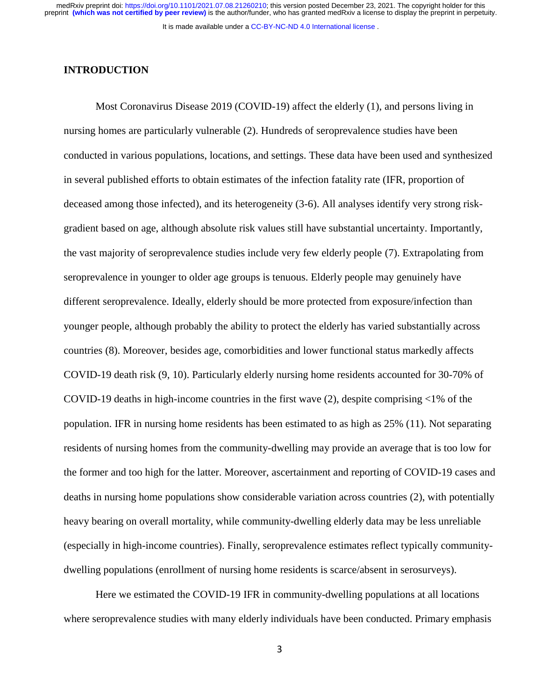It is made available under a [CC-BY-NC-ND 4.0 International license](http://creativecommons.org/licenses/by-nc-nd/4.0/) .

### **INTRODUCTION**

Most Coronavirus Disease 2019 (COVID-19) affect the elderly (1), and persons living in nursing homes are particularly vulnerable (2). Hundreds of seroprevalence studies have been conducted in various populations, locations, and settings. These data have been used and synthesized in several published efforts to obtain estimates of the infection fatality rate (IFR, proportion of deceased among those infected), and its heterogeneity (3-6). All analyses identify very strong riskgradient based on age, although absolute risk values still have substantial uncertainty. Importantly, the vast majority of seroprevalence studies include very few elderly people (7). Extrapolating from seroprevalence in younger to older age groups is tenuous. Elderly people may genuinely have different seroprevalence. Ideally, elderly should be more protected from exposure/infection than younger people, although probably the ability to protect the elderly has varied substantially across countries (8). Moreover, besides age, comorbidities and lower functional status markedly affects COVID-19 death risk (9, 10). Particularly elderly nursing home residents accounted for 30-70% of COVID-19 deaths in high-income countries in the first wave  $(2)$ , despite comprising  $\leq 1\%$  of the population. IFR in nursing home residents has been estimated to as high as 25% (11). Not separating residents of nursing homes from the community-dwelling may provide an average that is too low for the former and too high for the latter. Moreover, ascertainment and reporting of COVID-19 cases and deaths in nursing home populations show considerable variation across countries (2), with potentially heavy bearing on overall mortality, while community-dwelling elderly data may be less unreliable (especially in high-income countries). Finally, seroprevalence estimates reflect typically communitydwelling populations (enrollment of nursing home residents is scarce/absent in serosurveys).

Here we estimated the COVID-19 IFR in community-dwelling populations at all locations where seroprevalence studies with many elderly individuals have been conducted. Primary emphasis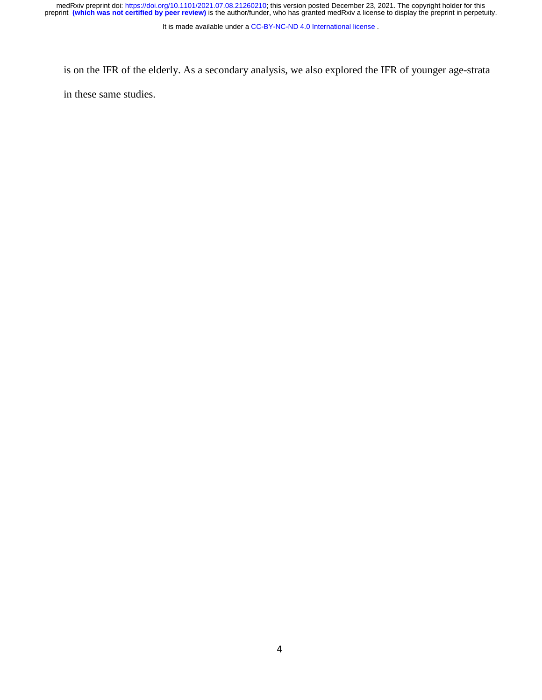medRxiv preprint doi: [https://doi.org/10.1101/2021.07.08.21260210;](https://doi.org/10.1101/2021.07.08.21260210) this version posted December 23, 2021. The copyright holder for this<br>preprint (which was not certified by peer review) is the author/funder, who has grante

It is made available under a [CC-BY-NC-ND 4.0 International license](http://creativecommons.org/licenses/by-nc-nd/4.0/) .

is on the IFR of the elderly. As a secondary analysis, we also explored the IFR of younger age-strata in these same studies.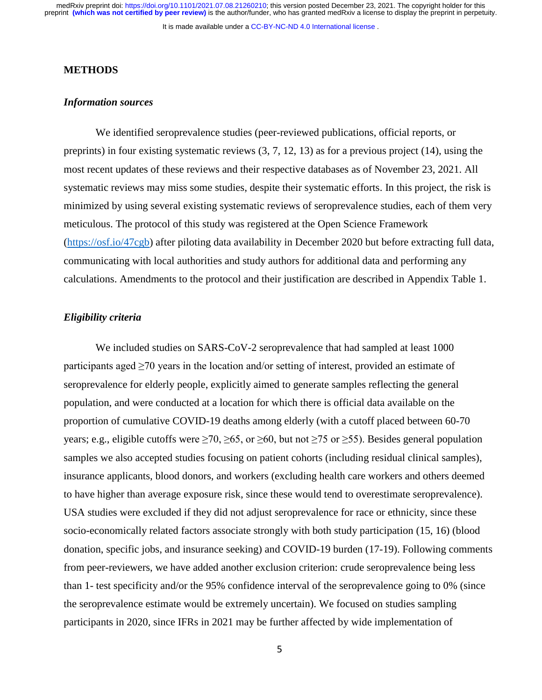medRxiv preprint doi: [https://doi.org/10.1101/2021.07.08.21260210;](https://doi.org/10.1101/2021.07.08.21260210) this version posted December 23, 2021. The copyright holder for this<br>preprint (which was not certified by peer review) is the author/funder, who has grante

It is made available under a [CC-BY-NC-ND 4.0 International license](http://creativecommons.org/licenses/by-nc-nd/4.0/) .

#### **METHODS**

#### *Information sources*

We identified seroprevalence studies (peer-reviewed publications, official reports, or preprints) in four existing systematic reviews (3, 7, 12, 13) as for a previous project (14), using the most recent updates of these reviews and their respective databases as of November 23, 2021. All systematic reviews may miss some studies, despite their systematic efforts. In this project, the risk is minimized by using several existing systematic reviews of seroprevalence studies, each of them very meticulous. The protocol of this study was registered at the Open Science Framework [\(https://osf.io/47cgb\)](https://osf.io/47cgb) after piloting data availability in December 2020 but before extracting full data, communicating with local authorities and study authors for additional data and performing any calculations. Amendments to the protocol and their justification are described in Appendix Table 1.

#### *Eligibility criteria*

We included studies on SARS-CoV-2 seroprevalence that had sampled at least 1000 participants aged  $\geq$ 70 years in the location and/or setting of interest, provided an estimate of seroprevalence for elderly people, explicitly aimed to generate samples reflecting the general population, and were conducted at a location for which there is official data available on the proportion of cumulative COVID-19 deaths among elderly (with a cutoff placed between 60-70 years; e.g., eligible cutoffs were  $\geq 70$ ,  $\geq 65$ , or  $\geq 60$ , but not  $\geq 75$  or  $\geq 55$ ). Besides general population samples we also accepted studies focusing on patient cohorts (including residual clinical samples), insurance applicants, blood donors, and workers (excluding health care workers and others deemed to have higher than average exposure risk, since these would tend to overestimate seroprevalence). USA studies were excluded if they did not adjust seroprevalence for race or ethnicity, since these socio-economically related factors associate strongly with both study participation (15, 16) (blood donation, specific jobs, and insurance seeking) and COVID-19 burden (17-19). Following comments from peer-reviewers, we have added another exclusion criterion: crude seroprevalence being less than 1- test specificity and/or the 95% confidence interval of the seroprevalence going to 0% (since the seroprevalence estimate would be extremely uncertain). We focused on studies sampling participants in 2020, since IFRs in 2021 may be further affected by wide implementation of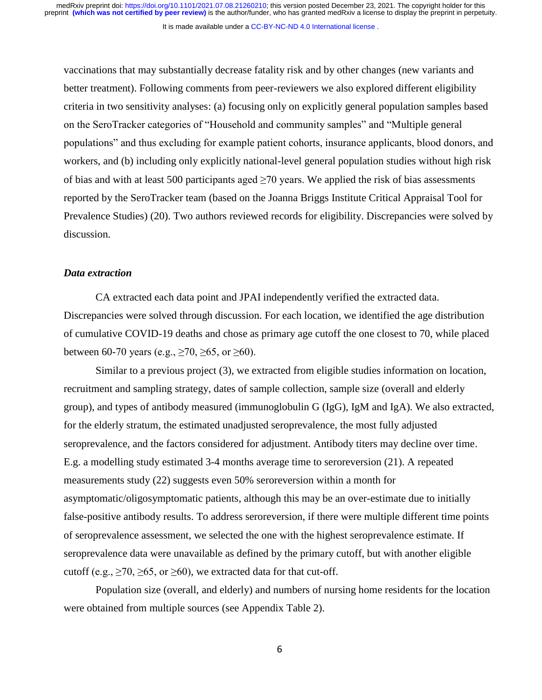It is made available under a [CC-BY-NC-ND 4.0 International license](http://creativecommons.org/licenses/by-nc-nd/4.0/) .

vaccinations that may substantially decrease fatality risk and by other changes (new variants and better treatment). Following comments from peer-reviewers we also explored different eligibility criteria in two sensitivity analyses: (a) focusing only on explicitly general population samples based on the SeroTracker categories of "Household and community samples" and "Multiple general populations" and thus excluding for example patient cohorts, insurance applicants, blood donors, and workers, and (b) including only explicitly national-level general population studies without high risk of bias and with at least 500 participants aged  $\geq$ 70 years. We applied the risk of bias assessments reported by the SeroTracker team (based on the Joanna Briggs Institute Critical Appraisal Tool for Prevalence Studies) (20). Two authors reviewed records for eligibility. Discrepancies were solved by discussion.

#### *Data extraction*

CA extracted each data point and JPAI independently verified the extracted data. Discrepancies were solved through discussion. For each location, we identified the age distribution of cumulative COVID-19 deaths and chose as primary age cutoff the one closest to 70, while placed between 60-70 years (e.g.,  $\geq$  70,  $\geq$  65, or  $\geq$  60).

Similar to a previous project (3), we extracted from eligible studies information on location, recruitment and sampling strategy, dates of sample collection, sample size (overall and elderly group), and types of antibody measured (immunoglobulin G (IgG), IgM and IgA). We also extracted, for the elderly stratum, the estimated unadjusted seroprevalence, the most fully adjusted seroprevalence, and the factors considered for adjustment. Antibody titers may decline over time. E.g. a modelling study estimated 3-4 months average time to seroreversion (21). A repeated measurements study (22) suggests even 50% seroreversion within a month for asymptomatic/oligosymptomatic patients, although this may be an over-estimate due to initially false-positive antibody results. To address seroreversion, if there were multiple different time points of seroprevalence assessment, we selected the one with the highest seroprevalence estimate. If seroprevalence data were unavailable as defined by the primary cutoff, but with another eligible cutoff (e.g.,  $\geq$ 70,  $\geq$ 65, or  $\geq$ 60), we extracted data for that cut-off.

Population size (overall, and elderly) and numbers of nursing home residents for the location were obtained from multiple sources (see Appendix Table 2).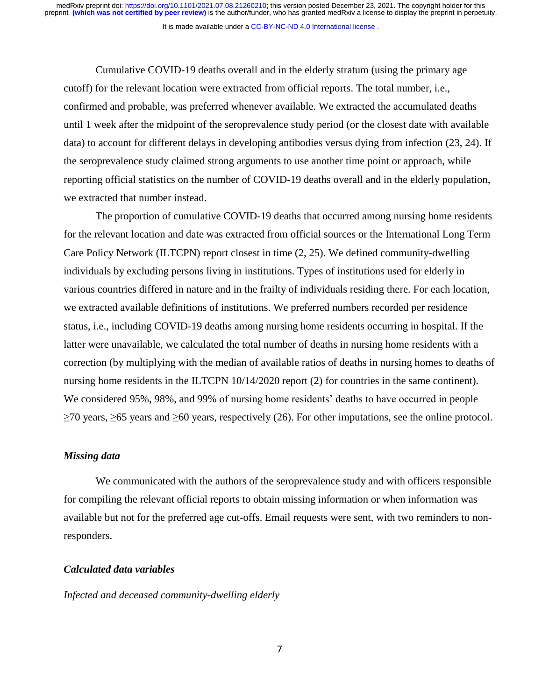medRxiv preprint doi: [https://doi.org/10.1101/2021.07.08.21260210;](https://doi.org/10.1101/2021.07.08.21260210) this version posted December 23, 2021. The copyright holder for this<br>preprint (which was not certified by peer review) is the author/funder, who has grante

It is made available under a [CC-BY-NC-ND 4.0 International license](http://creativecommons.org/licenses/by-nc-nd/4.0/) .

Cumulative COVID-19 deaths overall and in the elderly stratum (using the primary age cutoff) for the relevant location were extracted from official reports. The total number, i.e., confirmed and probable, was preferred whenever available. We extracted the accumulated deaths until 1 week after the midpoint of the seroprevalence study period (or the closest date with available data) to account for different delays in developing antibodies versus dying from infection (23, 24). If the seroprevalence study claimed strong arguments to use another time point or approach, while reporting official statistics on the number of COVID-19 deaths overall and in the elderly population, we extracted that number instead.

The proportion of cumulative COVID-19 deaths that occurred among nursing home residents for the relevant location and date was extracted from official sources or the International Long Term Care Policy Network (ILTCPN) report closest in time (2, 25). We defined community-dwelling individuals by excluding persons living in institutions. Types of institutions used for elderly in various countries differed in nature and in the frailty of individuals residing there. For each location, we extracted available definitions of institutions. We preferred numbers recorded per residence status, i.e., including COVID-19 deaths among nursing home residents occurring in hospital. If the latter were unavailable, we calculated the total number of deaths in nursing home residents with a correction (by multiplying with the median of available ratios of deaths in nursing homes to deaths of nursing home residents in the ILTCPN 10/14/2020 report (2) for countries in the same continent). We considered 95%, 98%, and 99% of nursing home residents' deaths to have occurred in people ≥70 years, ≥65 years and ≥60 years, respectively (26). For other imputations, see the online protocol.

#### *Missing data*

We communicated with the authors of the seroprevalence study and with officers responsible for compiling the relevant official reports to obtain missing information or when information was available but not for the preferred age cut-offs. Email requests were sent, with two reminders to nonresponders.

#### *Calculated data variables*

*Infected and deceased community-dwelling elderly*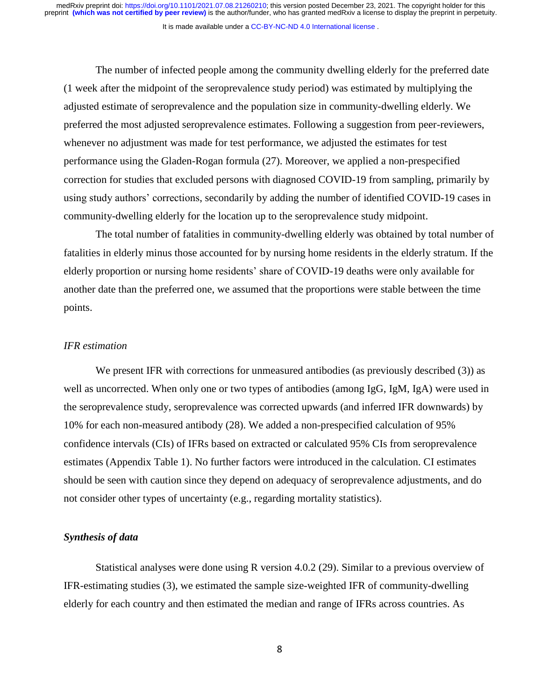It is made available under a [CC-BY-NC-ND 4.0 International license](http://creativecommons.org/licenses/by-nc-nd/4.0/) .

The number of infected people among the community dwelling elderly for the preferred date (1 week after the midpoint of the seroprevalence study period) was estimated by multiplying the adjusted estimate of seroprevalence and the population size in community-dwelling elderly. We preferred the most adjusted seroprevalence estimates. Following a suggestion from peer-reviewers, whenever no adjustment was made for test performance, we adjusted the estimates for test performance using the Gladen-Rogan formula (27). Moreover, we applied a non-prespecified correction for studies that excluded persons with diagnosed COVID-19 from sampling, primarily by using study authors' corrections, secondarily by adding the number of identified COVID-19 cases in community-dwelling elderly for the location up to the seroprevalence study midpoint.

The total number of fatalities in community-dwelling elderly was obtained by total number of fatalities in elderly minus those accounted for by nursing home residents in the elderly stratum. If the elderly proportion or nursing home residents' share of COVID-19 deaths were only available for another date than the preferred one, we assumed that the proportions were stable between the time points.

#### *IFR estimation*

We present IFR with corrections for unmeasured antibodies (as previously described (3)) as well as uncorrected. When only one or two types of antibodies (among IgG, IgM, IgA) were used in the seroprevalence study, seroprevalence was corrected upwards (and inferred IFR downwards) by 10% for each non-measured antibody (28). We added a non-prespecified calculation of 95% confidence intervals (CIs) of IFRs based on extracted or calculated 95% CIs from seroprevalence estimates (Appendix Table 1). No further factors were introduced in the calculation. CI estimates should be seen with caution since they depend on adequacy of seroprevalence adjustments, and do not consider other types of uncertainty (e.g., regarding mortality statistics).

#### *Synthesis of data*

Statistical analyses were done using R version 4.0.2 (29). Similar to a previous overview of IFR-estimating studies (3), we estimated the sample size-weighted IFR of community-dwelling elderly for each country and then estimated the median and range of IFRs across countries. As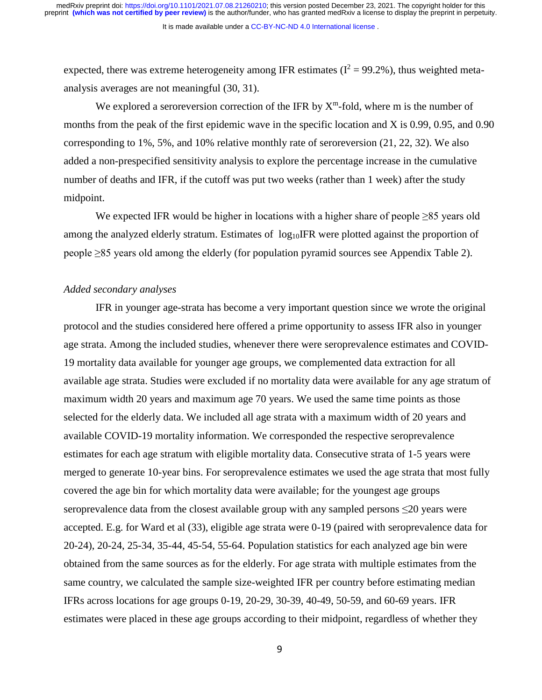It is made available under a CC-BY-NC-ND 4.0 International license.

expected, there was extreme heterogeneity among IFR estimates ( $I^2 = 99.2\%$ ), thus weighted metaanalysis averages are not meaningful (30, 31).

We explored a seroreversion correction of the IFR by  $X^m$ -fold, where m is the number of months from the peak of the first epidemic wave in the specific location and X is 0.99, 0.95, and 0.90 corresponding to 1%, 5%, and 10% relative monthly rate of seroreversion (21, 22, 32). We also added a non-prespecified sensitivity analysis to explore the percentage increase in the cumulative number of deaths and IFR, if the cutoff was put two weeks (rather than 1 week) after the study midpoint.

We expected IFR would be higher in locations with a higher share of people ≥85 years old among the analyzed elderly stratum. Estimates of  $log_{10}$ IFR were plotted against the proportion of people ≥85 years old among the elderly (for population pyramid sources see Appendix Table 2).

#### *Added secondary analyses*

IFR in younger age-strata has become a very important question since we wrote the original protocol and the studies considered here offered a prime opportunity to assess IFR also in younger age strata. Among the included studies, whenever there were seroprevalence estimates and COVID-19 mortality data available for younger age groups, we complemented data extraction for all available age strata. Studies were excluded if no mortality data were available for any age stratum of maximum width 20 years and maximum age 70 years. We used the same time points as those selected for the elderly data. We included all age strata with a maximum width of 20 years and available COVID-19 mortality information. We corresponded the respective seroprevalence estimates for each age stratum with eligible mortality data. Consecutive strata of 1-5 years were merged to generate 10-year bins. For seroprevalence estimates we used the age strata that most fully covered the age bin for which mortality data were available; for the youngest age groups seroprevalence data from the closest available group with any sampled persons ≤20 years were accepted. E.g. for Ward et al (33), eligible age strata were 0-19 (paired with seroprevalence data for 20-24), 20-24, 25-34, 35-44, 45-54, 55-64. Population statistics for each analyzed age bin were obtained from the same sources as for the elderly. For age strata with multiple estimates from the same country, we calculated the sample size-weighted IFR per country before estimating median IFRs across locations for age groups 0-19, 20-29, 30-39, 40-49, 50-59, and 60-69 years. IFR estimates were placed in these age groups according to their midpoint, regardless of whether they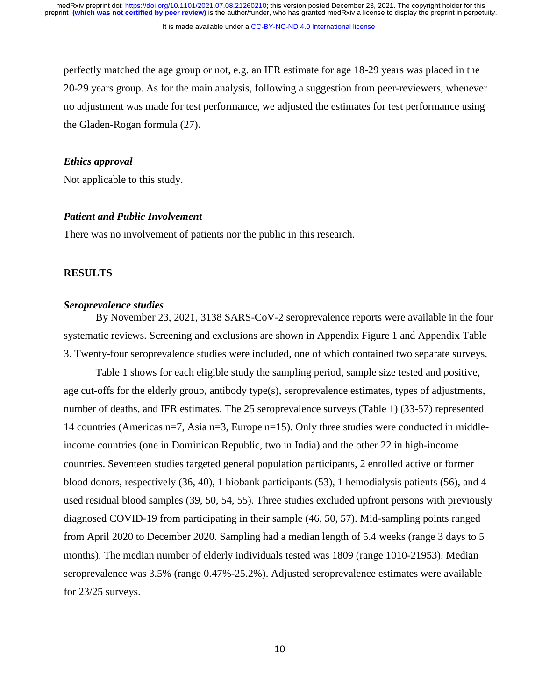It is made available under a [CC-BY-NC-ND 4.0 International license](http://creativecommons.org/licenses/by-nc-nd/4.0/) .

perfectly matched the age group or not, e.g. an IFR estimate for age 18-29 years was placed in the 20-29 years group. As for the main analysis, following a suggestion from peer-reviewers, whenever no adjustment was made for test performance, we adjusted the estimates for test performance using the Gladen-Rogan formula (27).

## *Ethics approval*

Not applicable to this study.

#### *Patient and Public Involvement*

There was no involvement of patients nor the public in this research.

#### **RESULTS**

#### *Seroprevalence studies*

By November 23, 2021, 3138 SARS-CoV-2 seroprevalence reports were available in the four systematic reviews. Screening and exclusions are shown in Appendix Figure 1 and Appendix Table 3. Twenty-four seroprevalence studies were included, one of which contained two separate surveys.

Table 1 shows for each eligible study the sampling period, sample size tested and positive, age cut-offs for the elderly group, antibody type(s), seroprevalence estimates, types of adjustments, number of deaths, and IFR estimates. The 25 seroprevalence surveys (Table 1) (33-57) represented 14 countries (Americas n=7, Asia n=3, Europe n=15). Only three studies were conducted in middleincome countries (one in Dominican Republic, two in India) and the other 22 in high-income countries. Seventeen studies targeted general population participants, 2 enrolled active or former blood donors, respectively (36, 40), 1 biobank participants (53), 1 hemodialysis patients (56), and 4 used residual blood samples (39, 50, 54, 55). Three studies excluded upfront persons with previously diagnosed COVID-19 from participating in their sample (46, 50, 57). Mid-sampling points ranged from April 2020 to December 2020. Sampling had a median length of 5.4 weeks (range 3 days to 5 months). The median number of elderly individuals tested was 1809 (range 1010-21953). Median seroprevalence was 3.5% (range 0.47%-25.2%). Adjusted seroprevalence estimates were available for 23/25 surveys.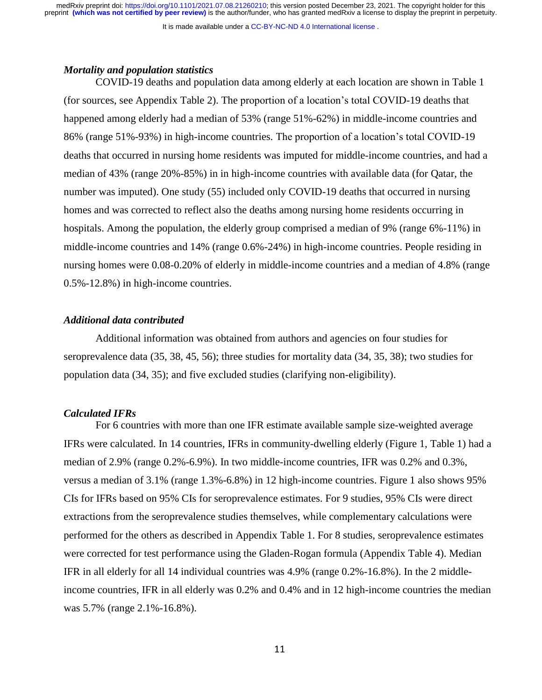It is made available under a [CC-BY-NC-ND 4.0 International license](http://creativecommons.org/licenses/by-nc-nd/4.0/) .

#### *Mortality and population statistics*

COVID-19 deaths and population data among elderly at each location are shown in Table 1 (for sources, see Appendix Table 2). The proportion of a location's total COVID-19 deaths that happened among elderly had a median of 53% (range 51%-62%) in middle-income countries and 86% (range 51%-93%) in high-income countries. The proportion of a location's total COVID-19 deaths that occurred in nursing home residents was imputed for middle-income countries, and had a median of 43% (range 20%-85%) in in high-income countries with available data (for Qatar, the number was imputed). One study (55) included only COVID-19 deaths that occurred in nursing homes and was corrected to reflect also the deaths among nursing home residents occurring in hospitals. Among the population, the elderly group comprised a median of 9% (range 6%-11%) in middle-income countries and 14% (range 0.6%-24%) in high-income countries. People residing in nursing homes were 0.08-0.20% of elderly in middle-income countries and a median of 4.8% (range 0.5%-12.8%) in high-income countries.

#### *Additional data contributed*

Additional information was obtained from authors and agencies on four studies for seroprevalence data (35, 38, 45, 56); three studies for mortality data (34, 35, 38); two studies for population data (34, 35); and five excluded studies (clarifying non-eligibility).

#### *Calculated IFRs*

For 6 countries with more than one IFR estimate available sample size-weighted average IFRs were calculated. In 14 countries, IFRs in community-dwelling elderly (Figure 1, Table 1) had a median of 2.9% (range 0.2%-6.9%). In two middle-income countries, IFR was 0.2% and 0.3%, versus a median of 3.1% (range 1.3%-6.8%) in 12 high-income countries. Figure 1 also shows 95% CIs for IFRs based on 95% CIs for seroprevalence estimates. For 9 studies, 95% CIs were direct extractions from the seroprevalence studies themselves, while complementary calculations were performed for the others as described in Appendix Table 1. For 8 studies, seroprevalence estimates were corrected for test performance using the Gladen-Rogan formula (Appendix Table 4). Median IFR in all elderly for all 14 individual countries was 4.9% (range 0.2%-16.8%). In the 2 middleincome countries, IFR in all elderly was 0.2% and 0.4% and in 12 high-income countries the median was 5.7% (range 2.1%-16.8%).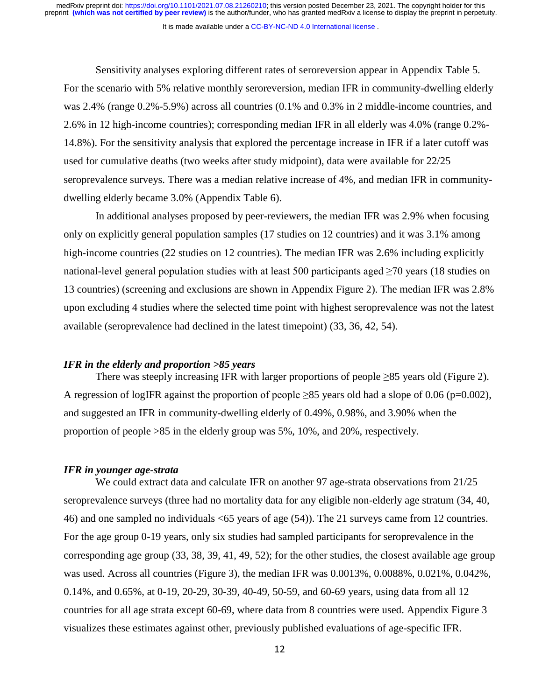It is made available under a [CC-BY-NC-ND 4.0 International license](http://creativecommons.org/licenses/by-nc-nd/4.0/) .

Sensitivity analyses exploring different rates of seroreversion appear in Appendix Table 5. For the scenario with 5% relative monthly seroreversion, median IFR in community-dwelling elderly was 2.4% (range 0.2%-5.9%) across all countries (0.1% and 0.3% in 2 middle-income countries, and 2.6% in 12 high-income countries); corresponding median IFR in all elderly was 4.0% (range 0.2%- 14.8%). For the sensitivity analysis that explored the percentage increase in IFR if a later cutoff was used for cumulative deaths (two weeks after study midpoint), data were available for 22/25 seroprevalence surveys. There was a median relative increase of 4%, and median IFR in communitydwelling elderly became 3.0% (Appendix Table 6).

In additional analyses proposed by peer-reviewers, the median IFR was 2.9% when focusing only on explicitly general population samples (17 studies on 12 countries) and it was 3.1% among high-income countries (22 studies on 12 countries). The median IFR was 2.6% including explicitly national-level general population studies with at least 500 participants aged  $\geq$ 70 years (18 studies on 13 countries) (screening and exclusions are shown in Appendix Figure 2). The median IFR was 2.8% upon excluding 4 studies where the selected time point with highest seroprevalence was not the latest available (seroprevalence had declined in the latest timepoint) (33, 36, 42, 54).

#### *IFR in the elderly and proportion >85 years*

There was steeply increasing IFR with larger proportions of people  $\geq 85$  years old (Figure 2). A regression of logIFR against the proportion of people  $\geq$ 85 years old had a slope of 0.06 (p=0.002), and suggested an IFR in community-dwelling elderly of 0.49%, 0.98%, and 3.90% when the proportion of people >85 in the elderly group was 5%, 10%, and 20%, respectively.

#### *IFR in younger age-strata*

We could extract data and calculate IFR on another 97 age-strata observations from 21/25 seroprevalence surveys (three had no mortality data for any eligible non-elderly age stratum (34, 40, 46) and one sampled no individuals <65 years of age (54)). The 21 surveys came from 12 countries. For the age group 0-19 years, only six studies had sampled participants for seroprevalence in the corresponding age group (33, 38, 39, 41, 49, 52); for the other studies, the closest available age group was used. Across all countries (Figure 3), the median IFR was 0.0013%, 0.0088%, 0.021%, 0.042%, 0.14%, and 0.65%, at 0-19, 20-29, 30-39, 40-49, 50-59, and 60-69 years, using data from all 12 countries for all age strata except 60-69, where data from 8 countries were used. Appendix Figure 3 visualizes these estimates against other, previously published evaluations of age-specific IFR.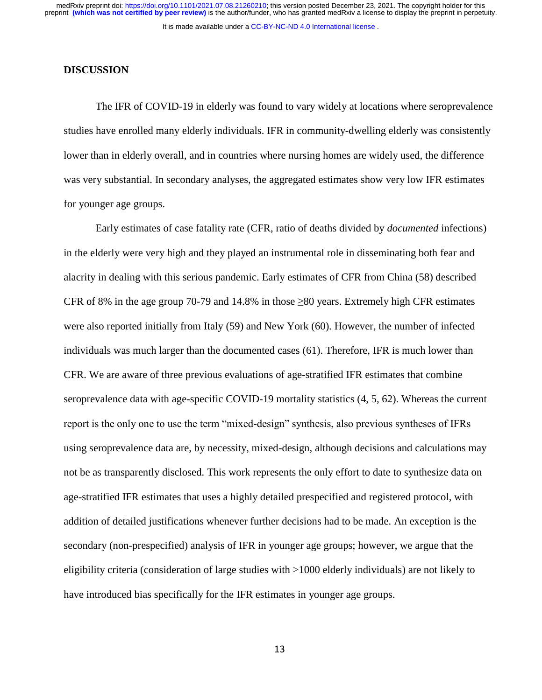It is made available under a CC-BY-NC-ND 4.0 International license.

#### **DISCUSSION**

The IFR of COVID-19 in elderly was found to vary widely at locations where seroprevalence studies have enrolled many elderly individuals. IFR in community-dwelling elderly was consistently lower than in elderly overall, and in countries where nursing homes are widely used, the difference was very substantial. In secondary analyses, the aggregated estimates show very low IFR estimates for younger age groups.

Early estimates of case fatality rate (CFR, ratio of deaths divided by *documented* infections) in the elderly were very high and they played an instrumental role in disseminating both fear and alacrity in dealing with this serious pandemic. Early estimates of CFR from China (58) described CFR of 8% in the age group 70-79 and 14.8% in those  $\geq 80$  years. Extremely high CFR estimates were also reported initially from Italy (59) and New York (60). However, the number of infected individuals was much larger than the documented cases (61). Therefore, IFR is much lower than CFR. We are aware of three previous evaluations of age-stratified IFR estimates that combine seroprevalence data with age-specific COVID-19 mortality statistics (4, 5, 62). Whereas the current report is the only one to use the term "mixed-design" synthesis, also previous syntheses of IFRs using seroprevalence data are, by necessity, mixed-design, although decisions and calculations may not be as transparently disclosed. This work represents the only effort to date to synthesize data on age-stratified IFR estimates that uses a highly detailed prespecified and registered protocol, with addition of detailed justifications whenever further decisions had to be made. An exception is the secondary (non-prespecified) analysis of IFR in younger age groups; however, we argue that the eligibility criteria (consideration of large studies with >1000 elderly individuals) are not likely to have introduced bias specifically for the IFR estimates in younger age groups.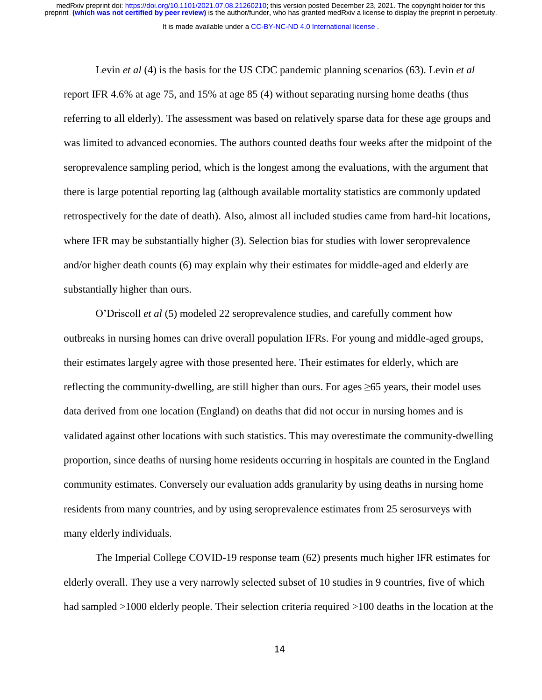It is made available under a [CC-BY-NC-ND 4.0 International license](http://creativecommons.org/licenses/by-nc-nd/4.0/) .

Levin *et al* (4) is the basis for the US CDC pandemic planning scenarios (63). Levin *et al* report IFR 4.6% at age 75, and 15% at age 85 (4) without separating nursing home deaths (thus referring to all elderly). The assessment was based on relatively sparse data for these age groups and was limited to advanced economies. The authors counted deaths four weeks after the midpoint of the seroprevalence sampling period, which is the longest among the evaluations, with the argument that there is large potential reporting lag (although available mortality statistics are commonly updated retrospectively for the date of death). Also, almost all included studies came from hard-hit locations, where IFR may be substantially higher (3). Selection bias for studies with lower seroprevalence and/or higher death counts (6) may explain why their estimates for middle-aged and elderly are substantially higher than ours.

O'Driscoll *et al* (5) modeled 22 seroprevalence studies, and carefully comment how outbreaks in nursing homes can drive overall population IFRs. For young and middle-aged groups, their estimates largely agree with those presented here. Their estimates for elderly, which are reflecting the community-dwelling, are still higher than ours. For ages  $\geq 65$  years, their model uses data derived from one location (England) on deaths that did not occur in nursing homes and is validated against other locations with such statistics. This may overestimate the community-dwelling proportion, since deaths of nursing home residents occurring in hospitals are counted in the England community estimates. Conversely our evaluation adds granularity by using deaths in nursing home residents from many countries, and by using seroprevalence estimates from 25 serosurveys with many elderly individuals.

The Imperial College COVID-19 response team (62) presents much higher IFR estimates for elderly overall. They use a very narrowly selected subset of 10 studies in 9 countries, five of which had sampled  $>1000$  elderly people. Their selection criteria required  $>100$  deaths in the location at the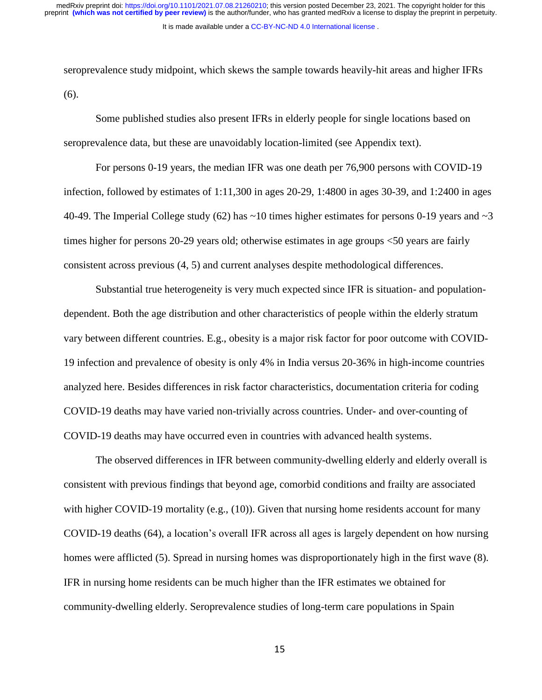seroprevalence study midpoint, which skews the sample towards heavily-hit areas and higher IFRs (6).

Some published studies also present IFRs in elderly people for single locations based on seroprevalence data, but these are unavoidably location-limited (see Appendix text).

For persons 0-19 years, the median IFR was one death per 76,900 persons with COVID-19 infection, followed by estimates of 1:11,300 in ages 20-29, 1:4800 in ages 30-39, and 1:2400 in ages 40-49. The Imperial College study (62) has  $\sim$ 10 times higher estimates for persons 0-19 years and  $\sim$ 3 times higher for persons 20-29 years old; otherwise estimates in age groups <50 years are fairly consistent across previous (4, 5) and current analyses despite methodological differences.

Substantial true heterogeneity is very much expected since IFR is situation- and populationdependent. Both the age distribution and other characteristics of people within the elderly stratum vary between different countries. E.g., obesity is a major risk factor for poor outcome with COVID-19 infection and prevalence of obesity is only 4% in India versus 20-36% in high-income countries analyzed here. Besides differences in risk factor characteristics, documentation criteria for coding COVID-19 deaths may have varied non-trivially across countries. Under- and over-counting of COVID-19 deaths may have occurred even in countries with advanced health systems.

The observed differences in IFR between community-dwelling elderly and elderly overall is consistent with previous findings that beyond age, comorbid conditions and frailty are associated with higher COVID-19 mortality (e.g., (10)). Given that nursing home residents account for many COVID-19 deaths (64), a location's overall IFR across all ages is largely dependent on how nursing homes were afflicted (5). Spread in nursing homes was disproportionately high in the first wave (8). IFR in nursing home residents can be much higher than the IFR estimates we obtained for community-dwelling elderly. Seroprevalence studies of long-term care populations in Spain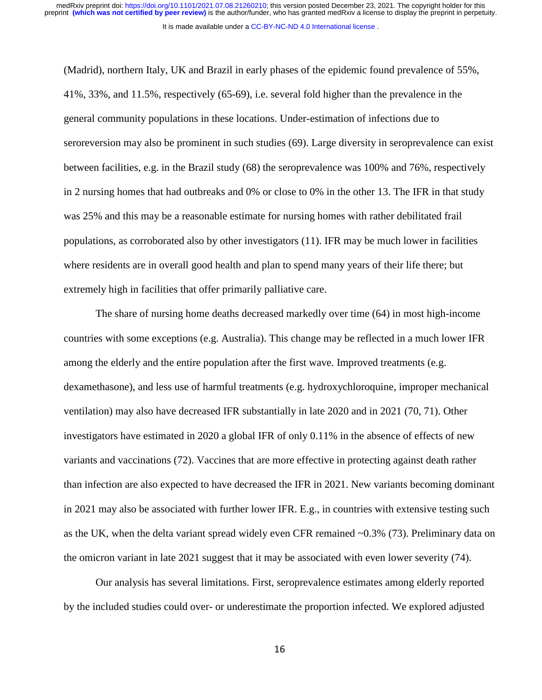It is made available under a [CC-BY-NC-ND 4.0 International license](http://creativecommons.org/licenses/by-nc-nd/4.0/) .

(Madrid), northern Italy, UK and Brazil in early phases of the epidemic found prevalence of 55%, 41%, 33%, and 11.5%, respectively (65-69), i.e. several fold higher than the prevalence in the general community populations in these locations. Under-estimation of infections due to seroreversion may also be prominent in such studies (69). Large diversity in seroprevalence can exist between facilities, e.g. in the Brazil study (68) the seroprevalence was 100% and 76%, respectively in 2 nursing homes that had outbreaks and 0% or close to 0% in the other 13. The IFR in that study was 25% and this may be a reasonable estimate for nursing homes with rather debilitated frail populations, as corroborated also by other investigators (11). IFR may be much lower in facilities where residents are in overall good health and plan to spend many years of their life there; but extremely high in facilities that offer primarily palliative care.

The share of nursing home deaths decreased markedly over time (64) in most high-income countries with some exceptions (e.g. Australia). This change may be reflected in a much lower IFR among the elderly and the entire population after the first wave. Improved treatments (e.g. dexamethasone), and less use of harmful treatments (e.g. hydroxychloroquine, improper mechanical ventilation) may also have decreased IFR substantially in late 2020 and in 2021 (70, 71). Other investigators have estimated in 2020 a global IFR of only 0.11% in the absence of effects of new variants and vaccinations (72). Vaccines that are more effective in protecting against death rather than infection are also expected to have decreased the IFR in 2021. New variants becoming dominant in 2021 may also be associated with further lower IFR. E.g., in countries with extensive testing such as the UK, when the delta variant spread widely even CFR remained ~0.3% (73). Preliminary data on the omicron variant in late 2021 suggest that it may be associated with even lower severity (74).

Our analysis has several limitations. First, seroprevalence estimates among elderly reported by the included studies could over- or underestimate the proportion infected. We explored adjusted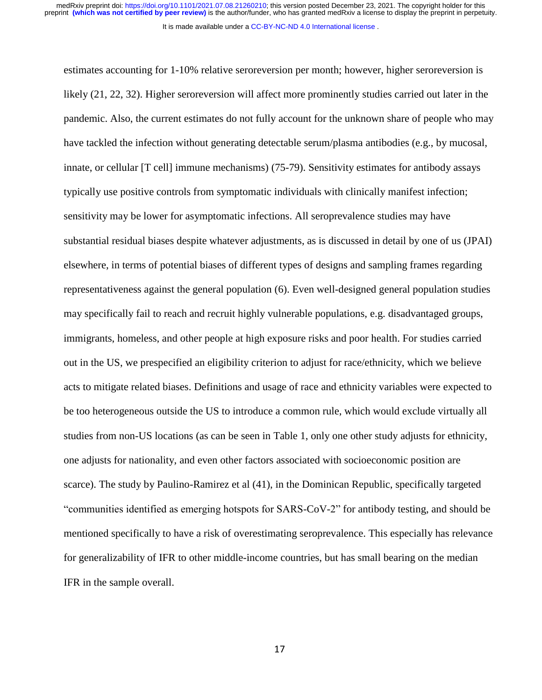It is made available under a [CC-BY-NC-ND 4.0 International license](http://creativecommons.org/licenses/by-nc-nd/4.0/) .

estimates accounting for 1-10% relative seroreversion per month; however, higher seroreversion is likely (21, 22, 32). Higher seroreversion will affect more prominently studies carried out later in the pandemic. Also, the current estimates do not fully account for the unknown share of people who may have tackled the infection without generating detectable serum/plasma antibodies (e.g., by mucosal, innate, or cellular [T cell] immune mechanisms) (75-79). Sensitivity estimates for antibody assays typically use positive controls from symptomatic individuals with clinically manifest infection; sensitivity may be lower for asymptomatic infections. All seroprevalence studies may have substantial residual biases despite whatever adjustments, as is discussed in detail by one of us (JPAI) elsewhere, in terms of potential biases of different types of designs and sampling frames regarding representativeness against the general population (6). Even well-designed general population studies may specifically fail to reach and recruit highly vulnerable populations, e.g. disadvantaged groups, immigrants, homeless, and other people at high exposure risks and poor health. For studies carried out in the US, we prespecified an eligibility criterion to adjust for race/ethnicity, which we believe acts to mitigate related biases. Definitions and usage of race and ethnicity variables were expected to be too heterogeneous outside the US to introduce a common rule, which would exclude virtually all studies from non-US locations (as can be seen in Table 1, only one other study adjusts for ethnicity, one adjusts for nationality, and even other factors associated with socioeconomic position are scarce). The study by Paulino-Ramirez et al (41), in the Dominican Republic, specifically targeted "communities identified as emerging hotspots for SARS-CoV-2" for antibody testing, and should be mentioned specifically to have a risk of overestimating seroprevalence. This especially has relevance for generalizability of IFR to other middle-income countries, but has small bearing on the median IFR in the sample overall.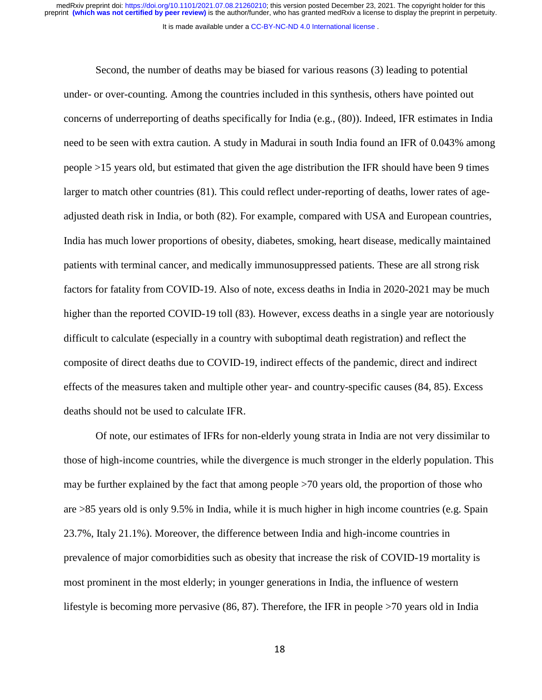It is made available under a [CC-BY-NC-ND 4.0 International license](http://creativecommons.org/licenses/by-nc-nd/4.0/) .

Second, the number of deaths may be biased for various reasons (3) leading to potential under- or over-counting. Among the countries included in this synthesis, others have pointed out concerns of underreporting of deaths specifically for India (e.g., (80)). Indeed, IFR estimates in India need to be seen with extra caution. A study in Madurai in south India found an IFR of 0.043% among people >15 years old, but estimated that given the age distribution the IFR should have been 9 times larger to match other countries (81). This could reflect under-reporting of deaths, lower rates of ageadjusted death risk in India, or both (82). For example, compared with USA and European countries, India has much lower proportions of obesity, diabetes, smoking, heart disease, medically maintained patients with terminal cancer, and medically immunosuppressed patients. These are all strong risk factors for fatality from COVID-19. Also of note, excess deaths in India in 2020-2021 may be much higher than the reported COVID-19 toll (83). However, excess deaths in a single year are notoriously difficult to calculate (especially in a country with suboptimal death registration) and reflect the composite of direct deaths due to COVID-19, indirect effects of the pandemic, direct and indirect effects of the measures taken and multiple other year- and country-specific causes (84, 85). Excess deaths should not be used to calculate IFR.

Of note, our estimates of IFRs for non-elderly young strata in India are not very dissimilar to those of high-income countries, while the divergence is much stronger in the elderly population. This may be further explained by the fact that among people >70 years old, the proportion of those who are >85 years old is only 9.5% in India, while it is much higher in high income countries (e.g. Spain 23.7%, Italy 21.1%). Moreover, the difference between India and high-income countries in prevalence of major comorbidities such as obesity that increase the risk of COVID-19 mortality is most prominent in the most elderly; in younger generations in India, the influence of western lifestyle is becoming more pervasive (86, 87). Therefore, the IFR in people >70 years old in India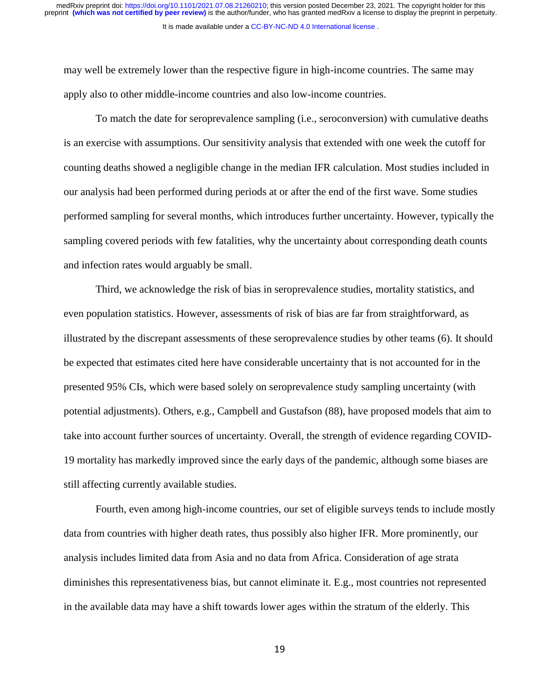It is made available under a [CC-BY-NC-ND 4.0 International license](http://creativecommons.org/licenses/by-nc-nd/4.0/) . preprint **(which was not certified by peer review)** is the author/funder, who has granted medRxiv a license to display the preprint in perpetuity. medRxiv preprint doi: [https://doi.org/10.1101/2021.07.08.21260210;](https://doi.org/10.1101/2021.07.08.21260210) this version posted December 23, 2021. The copyright holder for this

may well be extremely lower than the respective figure in high-income countries. The same may apply also to other middle-income countries and also low-income countries.

To match the date for seroprevalence sampling (i.e., seroconversion) with cumulative deaths is an exercise with assumptions. Our sensitivity analysis that extended with one week the cutoff for counting deaths showed a negligible change in the median IFR calculation. Most studies included in our analysis had been performed during periods at or after the end of the first wave. Some studies performed sampling for several months, which introduces further uncertainty. However, typically the sampling covered periods with few fatalities, why the uncertainty about corresponding death counts and infection rates would arguably be small.

Third, we acknowledge the risk of bias in seroprevalence studies, mortality statistics, and even population statistics. However, assessments of risk of bias are far from straightforward, as illustrated by the discrepant assessments of these seroprevalence studies by other teams (6). It should be expected that estimates cited here have considerable uncertainty that is not accounted for in the presented 95% CIs, which were based solely on seroprevalence study sampling uncertainty (with potential adjustments). Others, e.g., Campbell and Gustafson (88), have proposed models that aim to take into account further sources of uncertainty. Overall, the strength of evidence regarding COVID-19 mortality has markedly improved since the early days of the pandemic, although some biases are still affecting currently available studies.

Fourth, even among high-income countries, our set of eligible surveys tends to include mostly data from countries with higher death rates, thus possibly also higher IFR. More prominently, our analysis includes limited data from Asia and no data from Africa. Consideration of age strata diminishes this representativeness bias, but cannot eliminate it. E.g., most countries not represented in the available data may have a shift towards lower ages within the stratum of the elderly. This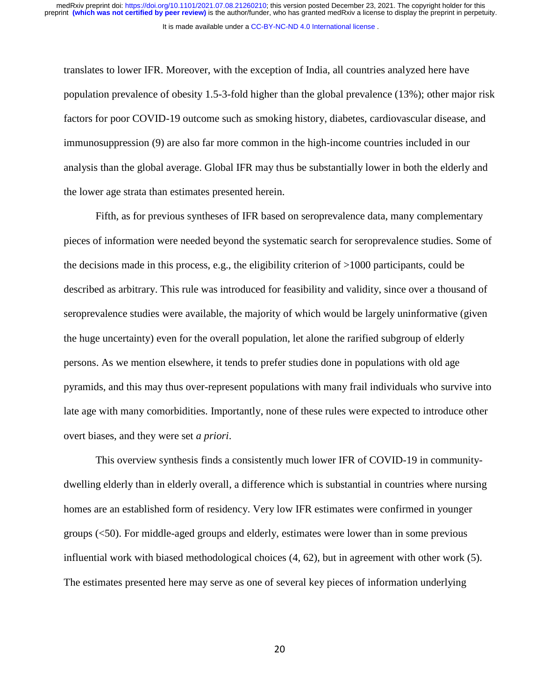It is made available under a CC-BY-NC-ND 4.0 International license.

translates to lower IFR. Moreover, with the exception of India, all countries analyzed here have population prevalence of obesity 1.5-3-fold higher than the global prevalence (13%); other major risk factors for poor COVID-19 outcome such as smoking history, diabetes, cardiovascular disease, and immunosuppression (9) are also far more common in the high-income countries included in our analysis than the global average. Global IFR may thus be substantially lower in both the elderly and the lower age strata than estimates presented herein.

Fifth, as for previous syntheses of IFR based on seroprevalence data, many complementary pieces of information were needed beyond the systematic search for seroprevalence studies. Some of the decisions made in this process, e.g., the eligibility criterion of >1000 participants, could be described as arbitrary. This rule was introduced for feasibility and validity, since over a thousand of seroprevalence studies were available, the majority of which would be largely uninformative (given the huge uncertainty) even for the overall population, let alone the rarified subgroup of elderly persons. As we mention elsewhere, it tends to prefer studies done in populations with old age pyramids, and this may thus over-represent populations with many frail individuals who survive into late age with many comorbidities. Importantly, none of these rules were expected to introduce other overt biases, and they were set *a priori*.

This overview synthesis finds a consistently much lower IFR of COVID-19 in communitydwelling elderly than in elderly overall, a difference which is substantial in countries where nursing homes are an established form of residency. Very low IFR estimates were confirmed in younger groups (<50). For middle-aged groups and elderly, estimates were lower than in some previous influential work with biased methodological choices (4, 62), but in agreement with other work (5). The estimates presented here may serve as one of several key pieces of information underlying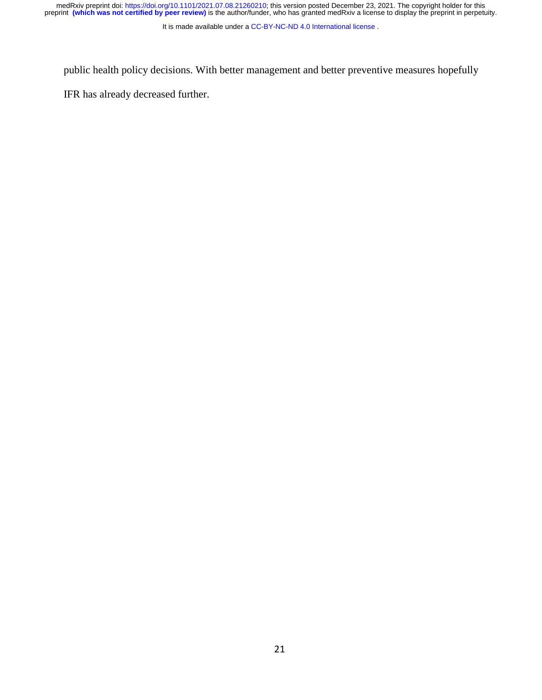medRxiv preprint doi: [https://doi.org/10.1101/2021.07.08.21260210;](https://doi.org/10.1101/2021.07.08.21260210) this version posted December 23, 2021. The copyright holder for this<br>preprint (which was not certified by peer review) is the author/funder, who has grante

It is made available under a [CC-BY-NC-ND 4.0 International license](http://creativecommons.org/licenses/by-nc-nd/4.0/) .

public health policy decisions. With better management and better preventive measures hopefully

IFR has already decreased further.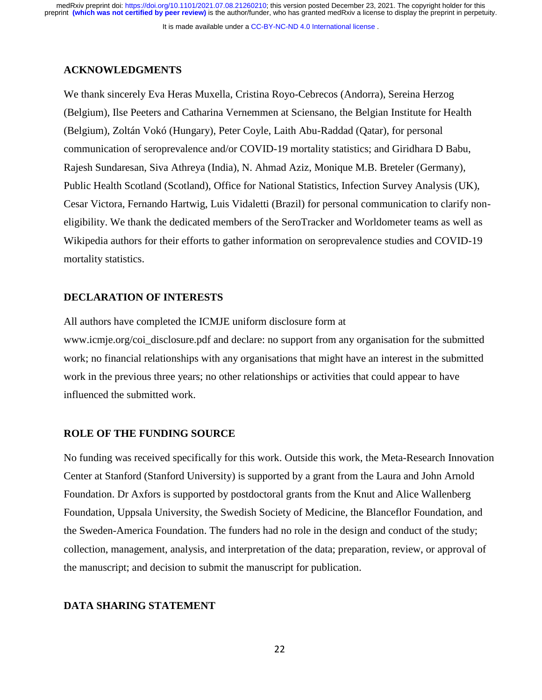It is made available under a [CC-BY-NC-ND 4.0 International license](http://creativecommons.org/licenses/by-nc-nd/4.0/) .

#### **ACKNOWLEDGMENTS**

We thank sincerely Eva Heras Muxella, Cristina Royo-Cebrecos (Andorra), Sereina Herzog (Belgium), Ilse Peeters and Catharina Vernemmen at Sciensano, the Belgian Institute for Health (Belgium), Zoltán Vokó (Hungary), Peter Coyle, Laith Abu-Raddad (Qatar), for personal communication of seroprevalence and/or COVID-19 mortality statistics; and Giridhara D Babu, Rajesh Sundaresan, Siva Athreya (India), N. Ahmad Aziz, Monique M.B. Breteler (Germany), Public Health Scotland (Scotland), Office for National Statistics, Infection Survey Analysis (UK), Cesar Victora, Fernando Hartwig, Luis Vidaletti (Brazil) for personal communication to clarify noneligibility. We thank the dedicated members of the SeroTracker and Worldometer teams as well as Wikipedia authors for their efforts to gather information on seroprevalence studies and COVID-19 mortality statistics.

#### **DECLARATION OF INTERESTS**

All authors have completed the ICMJE uniform disclosure form at www.icmje.org/coi\_disclosure.pdf and declare: no support from any organisation for the submitted work; no financial relationships with any organisations that might have an interest in the submitted work in the previous three years; no other relationships or activities that could appear to have influenced the submitted work.

## **ROLE OF THE FUNDING SOURCE**

No funding was received specifically for this work. Outside this work, the Meta-Research Innovation Center at Stanford (Stanford University) is supported by a grant from the Laura and John Arnold Foundation. Dr Axfors is supported by postdoctoral grants from the Knut and Alice Wallenberg Foundation, Uppsala University, the Swedish Society of Medicine, the Blanceflor Foundation, and the Sweden-America Foundation. The funders had no role in the design and conduct of the study; collection, management, analysis, and interpretation of the data; preparation, review, or approval of the manuscript; and decision to submit the manuscript for publication.

#### **DATA SHARING STATEMENT**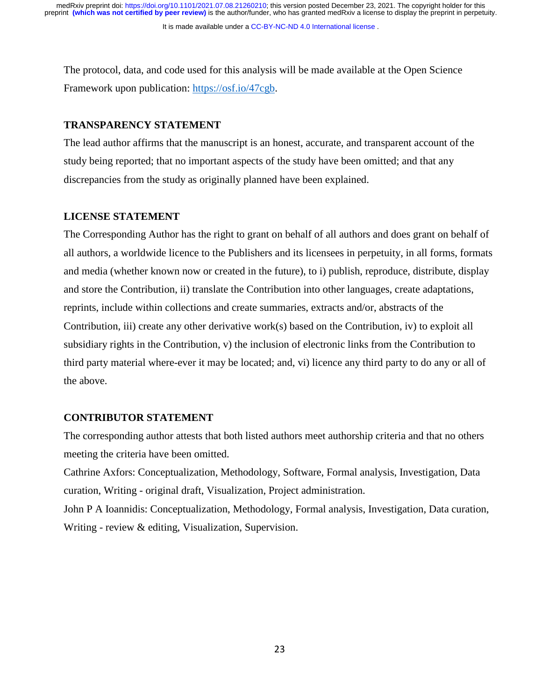It is made available under a [CC-BY-NC-ND 4.0 International license](http://creativecommons.org/licenses/by-nc-nd/4.0/) .

The protocol, data, and code used for this analysis will be made available at the Open Science Framework upon publication: [https://osf.io/47cgb.](https://osf.io/47cgb)

## **TRANSPARENCY STATEMENT**

The lead author affirms that the manuscript is an honest, accurate, and transparent account of the study being reported; that no important aspects of the study have been omitted; and that any discrepancies from the study as originally planned have been explained.

## **LICENSE STATEMENT**

The Corresponding Author has the right to grant on behalf of all authors and does grant on behalf of all authors, a worldwide licence to the Publishers and its licensees in perpetuity, in all forms, formats and media (whether known now or created in the future), to i) publish, reproduce, distribute, display and store the Contribution, ii) translate the Contribution into other languages, create adaptations, reprints, include within collections and create summaries, extracts and/or, abstracts of the Contribution, iii) create any other derivative work(s) based on the Contribution, iv) to exploit all subsidiary rights in the Contribution, v) the inclusion of electronic links from the Contribution to third party material where-ever it may be located; and, vi) licence any third party to do any or all of the above.

## **CONTRIBUTOR STATEMENT**

The corresponding author attests that both listed authors meet authorship criteria and that no others meeting the criteria have been omitted.

Cathrine Axfors: Conceptualization, Methodology, Software, Formal analysis, Investigation, Data curation, Writing - original draft, Visualization, Project administration.

John P A Ioannidis: Conceptualization, Methodology, Formal analysis, Investigation, Data curation, Writing - review & editing, Visualization, Supervision.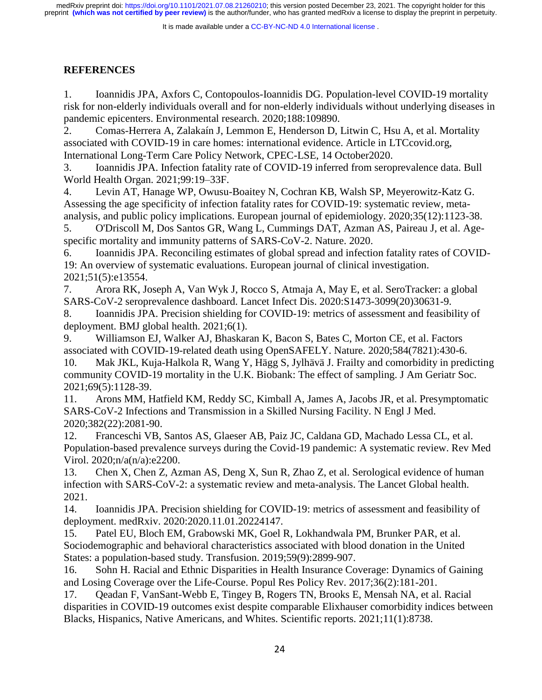It is made available under a CC-BY-NC-ND 4.0 International license.

# **REFERENCES**

1. Ioannidis JPA, Axfors C, Contopoulos-Ioannidis DG. Population-level COVID-19 mortality risk for non-elderly individuals overall and for non-elderly individuals without underlying diseases in pandemic epicenters. Environmental research. 2020;188:109890.

2. Comas-Herrera A, Zalakaín J, Lemmon E, Henderson D, Litwin C, Hsu A, et al. Mortality associated with COVID-19 in care homes: international evidence. Article in LTCcovid.org, International Long-Term Care Policy Network, CPEC-LSE, 14 October2020.

3. Ioannidis JPA. Infection fatality rate of COVID-19 inferred from seroprevalence data. Bull World Health Organ. 2021;99:19–33F.

4. Levin AT, Hanage WP, Owusu-Boaitey N, Cochran KB, Walsh SP, Meyerowitz-Katz G. Assessing the age specificity of infection fatality rates for COVID-19: systematic review, metaanalysis, and public policy implications. European journal of epidemiology. 2020;35(12):1123-38.

5. O'Driscoll M, Dos Santos GR, Wang L, Cummings DAT, Azman AS, Paireau J, et al. Agespecific mortality and immunity patterns of SARS-CoV-2. Nature. 2020.

6. Ioannidis JPA. Reconciling estimates of global spread and infection fatality rates of COVID-19: An overview of systematic evaluations. European journal of clinical investigation. 2021;51(5):e13554.

7. Arora RK, Joseph A, Van Wyk J, Rocco S, Atmaja A, May E, et al. SeroTracker: a global SARS-CoV-2 seroprevalence dashboard. Lancet Infect Dis. 2020:S1473-3099(20)30631-9.

8. Ioannidis JPA. Precision shielding for COVID-19: metrics of assessment and feasibility of deployment. BMJ global health. 2021;6(1).

9. Williamson EJ, Walker AJ, Bhaskaran K, Bacon S, Bates C, Morton CE, et al. Factors associated with COVID-19-related death using OpenSAFELY. Nature. 2020;584(7821):430-6.

10. Mak JKL, Kuja-Halkola R, Wang Y, Hägg S, Jylhävä J. Frailty and comorbidity in predicting community COVID-19 mortality in the U.K. Biobank: The effect of sampling. J Am Geriatr Soc. 2021;69(5):1128-39.

11. Arons MM, Hatfield KM, Reddy SC, Kimball A, James A, Jacobs JR, et al. Presymptomatic SARS-CoV-2 Infections and Transmission in a Skilled Nursing Facility. N Engl J Med. 2020;382(22):2081-90.

12. Franceschi VB, Santos AS, Glaeser AB, Paiz JC, Caldana GD, Machado Lessa CL, et al. Population-based prevalence surveys during the Covid-19 pandemic: A systematic review. Rev Med Virol. 2020;n/a(n/a):e2200.

13. Chen X, Chen Z, Azman AS, Deng X, Sun R, Zhao Z, et al. Serological evidence of human infection with SARS-CoV-2: a systematic review and meta-analysis. The Lancet Global health. 2021.

14. Ioannidis JPA. Precision shielding for COVID-19: metrics of assessment and feasibility of deployment. medRxiv. 2020:2020.11.01.20224147.

15. Patel EU, Bloch EM, Grabowski MK, Goel R, Lokhandwala PM, Brunker PAR, et al. Sociodemographic and behavioral characteristics associated with blood donation in the United States: a population-based study. Transfusion. 2019;59(9):2899-907.

16. Sohn H. Racial and Ethnic Disparities in Health Insurance Coverage: Dynamics of Gaining and Losing Coverage over the Life-Course. Popul Res Policy Rev. 2017;36(2):181-201.

17. Qeadan F, VanSant-Webb E, Tingey B, Rogers TN, Brooks E, Mensah NA, et al. Racial disparities in COVID-19 outcomes exist despite comparable Elixhauser comorbidity indices between Blacks, Hispanics, Native Americans, and Whites. Scientific reports. 2021;11(1):8738.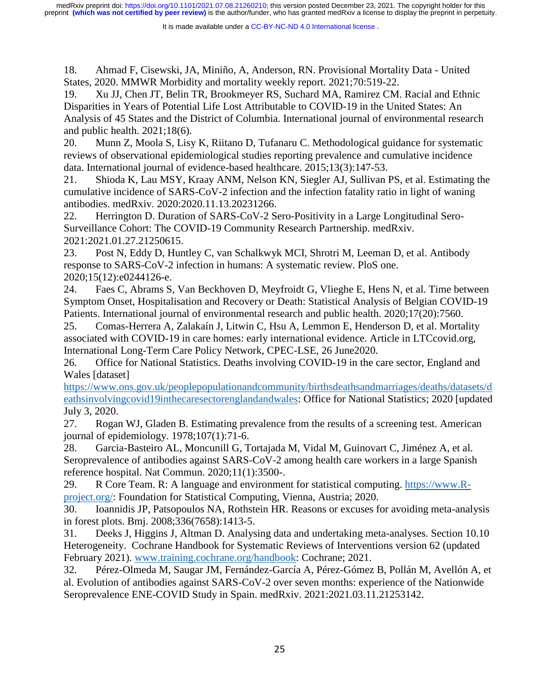18. Ahmad F, Cisewski, JA, Miniño, A, Anderson, RN. Provisional Mortality Data - United States, 2020. MMWR Morbidity and mortality weekly report. 2021;70:519-22.

19. Xu JJ, Chen JT, Belin TR, Brookmeyer RS, Suchard MA, Ramirez CM. Racial and Ethnic Disparities in Years of Potential Life Lost Attributable to COVID-19 in the United States: An Analysis of 45 States and the District of Columbia. International journal of environmental research and public health. 2021;18(6).

20. Munn Z, Moola S, Lisy K, Riitano D, Tufanaru C. Methodological guidance for systematic reviews of observational epidemiological studies reporting prevalence and cumulative incidence data. International journal of evidence-based healthcare. 2015;13(3):147-53.

21. Shioda K, Lau MSY, Kraay ANM, Nelson KN, Siegler AJ, Sullivan PS, et al. Estimating the cumulative incidence of SARS-CoV-2 infection and the infection fatality ratio in light of waning antibodies. medRxiv. 2020:2020.11.13.20231266.

22. Herrington D. Duration of SARS-CoV-2 Sero-Positivity in a Large Longitudinal Sero-Surveillance Cohort: The COVID-19 Community Research Partnership. medRxiv. 2021:2021.01.27.21250615.

23. Post N, Eddy D, Huntley C, van Schalkwyk MCI, Shrotri M, Leeman D, et al. Antibody response to SARS-CoV-2 infection in humans: A systematic review. PloS one. 2020;15(12):e0244126-e.

24. Faes C, Abrams S, Van Beckhoven D, Meyfroidt G, Vlieghe E, Hens N, et al. Time between Symptom Onset, Hospitalisation and Recovery or Death: Statistical Analysis of Belgian COVID-19 Patients. International journal of environmental research and public health. 2020;17(20):7560.

25. Comas-Herrera A, Zalakaín J, Litwin C, Hsu A, Lemmon E, Henderson D, et al. Mortality associated with COVID-19 in care homes: early international evidence. Article in LTCcovid.org, International Long-Term Care Policy Network, CPEC-LSE, 26 June2020.

26. Office for National Statistics. Deaths involving COVID-19 in the care sector, England and Wales [dataset]

[https://www.ons.gov.uk/peoplepopulationandcommunity/birthsdeathsandmarriages/deaths/datasets/d](https://www.ons.gov.uk/peoplepopulationandcommunity/birthsdeathsandmarriages/deaths/datasets/deathsinvolvingcovid19inthecaresectorenglandandwales) [eathsinvolvingcovid19inthecaresectorenglandandwales:](https://www.ons.gov.uk/peoplepopulationandcommunity/birthsdeathsandmarriages/deaths/datasets/deathsinvolvingcovid19inthecaresectorenglandandwales) Office for National Statistics; 2020 [updated July 3, 2020.

27. Rogan WJ, Gladen B. Estimating prevalence from the results of a screening test. American journal of epidemiology. 1978;107(1):71-6.

28. Garcia-Basteiro AL, Moncunill G, Tortajada M, Vidal M, Guinovart C, Jiménez A, et al. Seroprevalence of antibodies against SARS-CoV-2 among health care workers in a large Spanish reference hospital. Nat Commun. 2020;11(1):3500-.

29. R Core Team. R: A language and environment for statistical computing. [https://www.R](https://www.r-project.org/)[project.org/:](https://www.r-project.org/) Foundation for Statistical Computing, Vienna, Austria; 2020.

30. Ioannidis JP, Patsopoulos NA, Rothstein HR. Reasons or excuses for avoiding meta-analysis in forest plots. Bmj. 2008;336(7658):1413-5.

31. Deeks J, Higgins J, Altman D. Analysing data and undertaking meta-analyses. Section 10.10 Heterogeneity. Cochrane Handbook for Systematic Reviews of Interventions version 62 (updated February 2021). [www.training.cochrane.org/handbook:](file:///C:/Users/catax386/Documents/Forskning/Egna%20studier/Postdoc%20METRICS/COVID-19/IFR%20community-dwelling/Submission/Revision%20EJE/www.training.cochrane.org/handbook) Cochrane; 2021.

32. Pérez-Olmeda M, Saugar JM, Fernández-García A, Pérez-Gómez B, Pollán M, Avellón A, et al. Evolution of antibodies against SARS-CoV-2 over seven months: experience of the Nationwide Seroprevalence ENE-COVID Study in Spain. medRxiv. 2021:2021.03.11.21253142.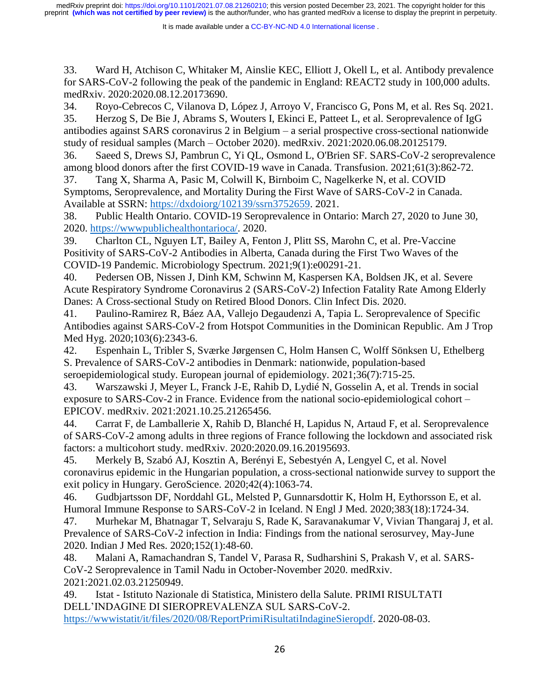It is made available under a CC-BY-NC-ND 4.0 International license.

33. Ward H, Atchison C, Whitaker M, Ainslie KEC, Elliott J, Okell L, et al. Antibody prevalence for SARS-CoV-2 following the peak of the pandemic in England: REACT2 study in 100,000 adults. medRxiv. 2020:2020.08.12.20173690.

34. Royo-Cebrecos C, Vilanova D, López J, Arroyo V, Francisco G, Pons M, et al. Res Sq. 2021. 35. Herzog S, De Bie J, Abrams S, Wouters I, Ekinci E, Patteet L, et al. Seroprevalence of IgG antibodies against SARS coronavirus 2 in Belgium – a serial prospective cross-sectional nationwide study of residual samples (March – October 2020). medRxiv. 2021:2020.06.08.20125179.

36. Saeed S, Drews SJ, Pambrun C, Yi QL, Osmond L, O'Brien SF. SARS-CoV-2 seroprevalence among blood donors after the first COVID-19 wave in Canada. Transfusion. 2021;61(3):862-72.

37. Tang X, Sharma A, Pasic M, Colwill K, Birnboim C, Nagelkerke N, et al. COVID Symptoms, Seroprevalence, and Mortality During the First Wave of SARS-CoV-2 in Canada. Available at SSRN: [https://dxdoiorg/102139/ssrn3752659.](https://dxdoiorg/102139/ssrn3752659) 2021.

38. Public Health Ontario. COVID-19 Seroprevalence in Ontario: March 27, 2020 to June 30, 2020. [https://wwwpublichealthontarioca/.](https://wwwpublichealthontarioca/) 2020.

39. Charlton CL, Nguyen LT, Bailey A, Fenton J, Plitt SS, Marohn C, et al. Pre-Vaccine Positivity of SARS-CoV-2 Antibodies in Alberta, Canada during the First Two Waves of the COVID-19 Pandemic. Microbiology Spectrum. 2021;9(1):e00291-21.

40. Pedersen OB, Nissen J, Dinh KM, Schwinn M, Kaspersen KA, Boldsen JK, et al. Severe Acute Respiratory Syndrome Coronavirus 2 (SARS-CoV-2) Infection Fatality Rate Among Elderly Danes: A Cross-sectional Study on Retired Blood Donors. Clin Infect Dis. 2020.

41. Paulino-Ramirez R, Báez AA, Vallejo Degaudenzi A, Tapia L. Seroprevalence of Specific Antibodies against SARS-CoV-2 from Hotspot Communities in the Dominican Republic. Am J Trop Med Hyg. 2020;103(6):2343-6.

42. Espenhain L, Tribler S, Sværke Jørgensen C, Holm Hansen C, Wolff Sönksen U, Ethelberg S. Prevalence of SARS-CoV-2 antibodies in Denmark: nationwide, population-based seroepidemiological study. European journal of epidemiology. 2021;36(7):715-25.

43. Warszawski J, Meyer L, Franck J-E, Rahib D, Lydié N, Gosselin A, et al. Trends in social exposure to SARS-Cov-2 in France. Evidence from the national socio-epidemiological cohort – EPICOV. medRxiv. 2021:2021.10.25.21265456.

44. Carrat F, de Lamballerie X, Rahib D, Blanché H, Lapidus N, Artaud F, et al. Seroprevalence of SARS-CoV-2 among adults in three regions of France following the lockdown and associated risk factors: a multicohort study. medRxiv. 2020:2020.09.16.20195693.

45. Merkely B, Szabó AJ, Kosztin A, Berényi E, Sebestyén A, Lengyel C, et al. Novel coronavirus epidemic in the Hungarian population, a cross-sectional nationwide survey to support the exit policy in Hungary. GeroScience. 2020;42(4):1063-74.

46. Gudbjartsson DF, Norddahl GL, Melsted P, Gunnarsdottir K, Holm H, Eythorsson E, et al. Humoral Immune Response to SARS-CoV-2 in Iceland. N Engl J Med. 2020;383(18):1724-34.

47. Murhekar M, Bhatnagar T, Selvaraju S, Rade K, Saravanakumar V, Vivian Thangaraj J, et al. Prevalence of SARS-CoV-2 infection in India: Findings from the national serosurvey, May-June 2020. Indian J Med Res. 2020;152(1):48-60.

48. Malani A, Ramachandran S, Tandel V, Parasa R, Sudharshini S, Prakash V, et al. SARS-CoV-2 Seroprevalence in Tamil Nadu in October-November 2020. medRxiv. 2021:2021.02.03.21250949.

49. Istat - Istituto Nazionale di Statistica, Ministero della Salute. PRIMI RISULTATI DELL'INDAGINE DI SIEROPREVALENZA SUL SARS-CoV-2.

[https://wwwistatit/it/files/2020/08/ReportPrimiRisultatiIndagineSieropdf.](https://wwwistatit/it/files/2020/08/ReportPrimiRisultatiIndagineSieropdf) 2020-08-03.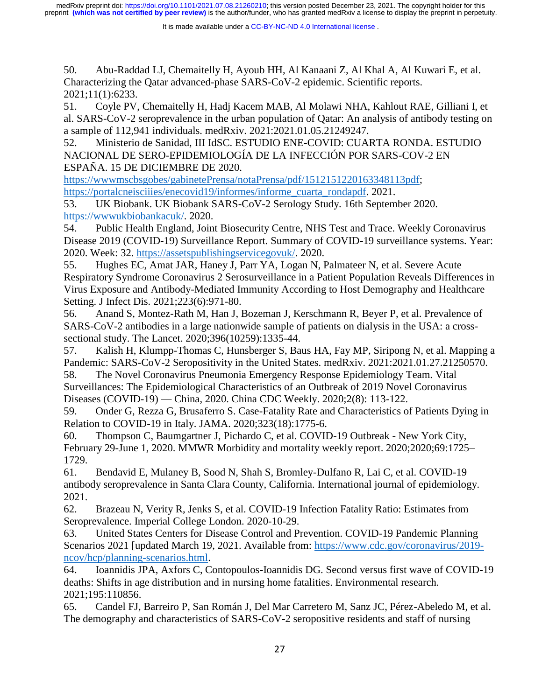50. Abu-Raddad LJ, Chemaitelly H, Ayoub HH, Al Kanaani Z, Al Khal A, Al Kuwari E, et al. Characterizing the Qatar advanced-phase SARS-CoV-2 epidemic. Scientific reports. 2021;11(1):6233.

51. Coyle PV, Chemaitelly H, Hadj Kacem MAB, Al Molawi NHA, Kahlout RAE, Gilliani I, et al. SARS-CoV-2 seroprevalence in the urban population of Qatar: An analysis of antibody testing on a sample of 112,941 individuals. medRxiv. 2021:2021.01.05.21249247.

52. Ministerio de Sanidad, III IdSC. ESTUDIO ENE-COVID: CUARTA RONDA. ESTUDIO NACIONAL DE SERO-EPIDEMIOLOGÍA DE LA INFECCIÓN POR SARS-COV-2 EN ESPAÑA. 15 DE DICIEMBRE DE 2020.

[https://wwwmscbsgobes/gabinetePrensa/notaPrensa/pdf/1512151220163348113pdf;](https://wwwmscbsgobes/gabinetePrensa/notaPrensa/pdf/1512151220163348113pdf) [https://portalcneisciiies/enecovid19/informes/informe\\_cuarta\\_rondapdf.](https://portalcneisciiies/enecovid19/informes/informe_cuarta_rondapdf) 2021.

53. UK Biobank. UK Biobank SARS-CoV-2 Serology Study. 16th September 2020. [https://wwwukbiobankacuk/.](https://wwwukbiobankacuk/) 2020.

54. Public Health England, Joint Biosecurity Centre, NHS Test and Trace. Weekly Coronavirus Disease 2019 (COVID-19) Surveillance Report. Summary of COVID-19 surveillance systems. Year: 2020. Week: 32. [https://assetspublishingservicegovuk/.](https://assetspublishingservicegovuk/) 2020.

55. Hughes EC, Amat JAR, Haney J, Parr YA, Logan N, Palmateer N, et al. Severe Acute Respiratory Syndrome Coronavirus 2 Serosurveillance in a Patient Population Reveals Differences in Virus Exposure and Antibody-Mediated Immunity According to Host Demography and Healthcare Setting. J Infect Dis. 2021;223(6):971-80.

56. Anand S, Montez-Rath M, Han J, Bozeman J, Kerschmann R, Beyer P, et al. Prevalence of SARS-CoV-2 antibodies in a large nationwide sample of patients on dialysis in the USA: a crosssectional study. The Lancet. 2020;396(10259):1335-44.

57. Kalish H, Klumpp-Thomas C, Hunsberger S, Baus HA, Fay MP, Siripong N, et al. Mapping a Pandemic: SARS-CoV-2 Seropositivity in the United States. medRxiv. 2021:2021.01.27.21250570.

58. The Novel Coronavirus Pneumonia Emergency Response Epidemiology Team. Vital Surveillances: The Epidemiological Characteristics of an Outbreak of 2019 Novel Coronavirus Diseases (COVID-19) — China, 2020. China CDC Weekly. 2020;2(8): 113-122.

59. Onder G, Rezza G, Brusaferro S. Case-Fatality Rate and Characteristics of Patients Dying in Relation to COVID-19 in Italy. JAMA. 2020;323(18):1775-6.

60. Thompson C, Baumgartner J, Pichardo C, et al. COVID-19 Outbreak - New York City, February 29-June 1, 2020. MMWR Morbidity and mortality weekly report. 2020;2020;69:1725– 1729.

61. Bendavid E, Mulaney B, Sood N, Shah S, Bromley-Dulfano R, Lai C, et al. COVID-19 antibody seroprevalence in Santa Clara County, California. International journal of epidemiology. 2021.

62. Brazeau N, Verity R, Jenks S, et al. COVID-19 Infection Fatality Ratio: Estimates from Seroprevalence. Imperial College London. 2020-10-29.

63. United States Centers for Disease Control and Prevention. COVID-19 Pandemic Planning Scenarios 2021 [updated March 19, 2021. Available from: [https://www.cdc.gov/coronavirus/2019](https://www.cdc.gov/coronavirus/2019-ncov/hcp/planning-scenarios.html) [ncov/hcp/planning-scenarios.html.](https://www.cdc.gov/coronavirus/2019-ncov/hcp/planning-scenarios.html)

64. Ioannidis JPA, Axfors C, Contopoulos-Ioannidis DG. Second versus first wave of COVID-19 deaths: Shifts in age distribution and in nursing home fatalities. Environmental research. 2021;195:110856.

65. Candel FJ, Barreiro P, San Román J, Del Mar Carretero M, Sanz JC, Pérez-Abeledo M, et al. The demography and characteristics of SARS-CoV-2 seropositive residents and staff of nursing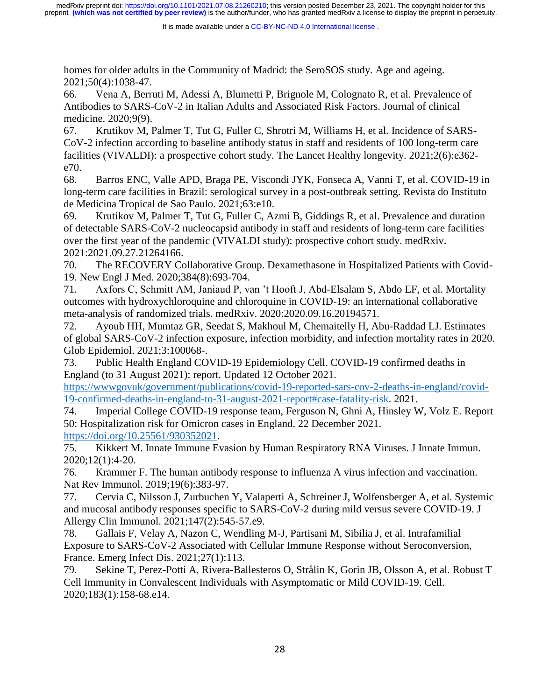homes for older adults in the Community of Madrid: the SeroSOS study. Age and ageing. 2021;50(4):1038-47.

66. Vena A, Berruti M, Adessi A, Blumetti P, Brignole M, Colognato R, et al. Prevalence of Antibodies to SARS-CoV-2 in Italian Adults and Associated Risk Factors. Journal of clinical medicine. 2020;9(9).

67. Krutikov M, Palmer T, Tut G, Fuller C, Shrotri M, Williams H, et al. Incidence of SARS-CoV-2 infection according to baseline antibody status in staff and residents of 100 long-term care facilities (VIVALDI): a prospective cohort study. The Lancet Healthy longevity. 2021;2(6):e362 e70.

68. Barros ENC, Valle APD, Braga PE, Viscondi JYK, Fonseca A, Vanni T, et al. COVID-19 in long-term care facilities in Brazil: serological survey in a post-outbreak setting. Revista do Instituto de Medicina Tropical de Sao Paulo. 2021;63:e10.

69. Krutikov M, Palmer T, Tut G, Fuller C, Azmi B, Giddings R, et al. Prevalence and duration of detectable SARS-CoV-2 nucleocapsid antibody in staff and residents of long-term care facilities over the first year of the pandemic (VIVALDI study): prospective cohort study. medRxiv. 2021:2021.09.27.21264166.

70. The RECOVERY Collaborative Group. Dexamethasone in Hospitalized Patients with Covid-19. New Engl J Med. 2020;384(8):693-704.

71. Axfors C, Schmitt AM, Janiaud P, van 't Hooft J, Abd-Elsalam S, Abdo EF, et al. Mortality outcomes with hydroxychloroquine and chloroquine in COVID-19: an international collaborative meta-analysis of randomized trials. medRxiv. 2020:2020.09.16.20194571.

72. Ayoub HH, Mumtaz GR, Seedat S, Makhoul M, Chemaitelly H, Abu-Raddad LJ. Estimates of global SARS-CoV-2 infection exposure, infection morbidity, and infection mortality rates in 2020. Glob Epidemiol. 2021;3:100068-.

73. Public Health England COVID-19 Epidemiology Cell. COVID-19 confirmed deaths in England (to 31 August 2021): report. Updated 12 October 2021.

[https://wwwgovuk/government/publications/covid-19-reported-sars-cov-2-deaths-in-england/covid-](https://wwwgovuk/government/publications/covid-19-reported-sars-cov-2-deaths-in-england/covid-19-confirmed-deaths-in-england-to-31-august-2021-report#case-fatality-risk)[19-confirmed-deaths-in-england-to-31-august-2021-report#case-fatality-risk.](https://wwwgovuk/government/publications/covid-19-reported-sars-cov-2-deaths-in-england/covid-19-confirmed-deaths-in-england-to-31-august-2021-report#case-fatality-risk) 2021.

74. Imperial College COVID-19 response team, Ferguson N, Ghni A, Hinsley W, Volz E. Report 50: Hospitalization risk for Omicron cases in England. 22 December 2021.

[https://doi.org/10.25561/930352021.](https://doi.org/10.25561/930352021)

75. Kikkert M. Innate Immune Evasion by Human Respiratory RNA Viruses. J Innate Immun. 2020;12(1):4-20.

76. Krammer F. The human antibody response to influenza A virus infection and vaccination. Nat Rev Immunol. 2019;19(6):383-97.

77. Cervia C, Nilsson J, Zurbuchen Y, Valaperti A, Schreiner J, Wolfensberger A, et al. Systemic and mucosal antibody responses specific to SARS-CoV-2 during mild versus severe COVID-19. J Allergy Clin Immunol. 2021;147(2):545-57.e9.

78. Gallais F, Velay A, Nazon C, Wendling M-J, Partisani M, Sibilia J, et al. Intrafamilial Exposure to SARS-CoV-2 Associated with Cellular Immune Response without Seroconversion, France. Emerg Infect Dis. 2021;27(1):113.

79. Sekine T, Perez-Potti A, Rivera-Ballesteros O, Strålin K, Gorin JB, Olsson A, et al. Robust T Cell Immunity in Convalescent Individuals with Asymptomatic or Mild COVID-19. Cell. 2020;183(1):158-68.e14.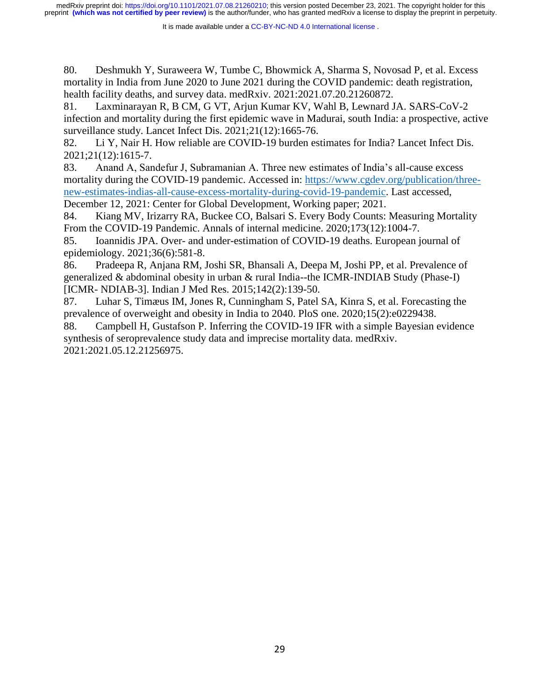It is made available under a CC-BY-NC-ND 4.0 International license.

80. Deshmukh Y, Suraweera W, Tumbe C, Bhowmick A, Sharma S, Novosad P, et al. Excess mortality in India from June 2020 to June 2021 during the COVID pandemic: death registration, health facility deaths, and survey data. medRxiv. 2021:2021.07.20.21260872.

81. Laxminarayan R, B CM, G VT, Arjun Kumar KV, Wahl B, Lewnard JA. SARS-CoV-2 infection and mortality during the first epidemic wave in Madurai, south India: a prospective, active surveillance study. Lancet Infect Dis. 2021;21(12):1665-76.

82. Li Y, Nair H. How reliable are COVID-19 burden estimates for India? Lancet Infect Dis. 2021;21(12):1615-7.

83. Anand A, Sandefur J, Subramanian A. Three new estimates of India's all-cause excess mortality during the COVID-19 pandemic. Accessed in: [https://www.cgdev.org/publication/three](https://www.cgdev.org/publication/three-new-estimates-indias-all-cause-excess-mortality-during-covid-19-pandemic)[new-estimates-indias-all-cause-excess-mortality-during-covid-19-pandemic.](https://www.cgdev.org/publication/three-new-estimates-indias-all-cause-excess-mortality-during-covid-19-pandemic) Last accessed, December 12, 2021: Center for Global Development, Working paper; 2021.

84. Kiang MV, Irizarry RA, Buckee CO, Balsari S. Every Body Counts: Measuring Mortality From the COVID-19 Pandemic. Annals of internal medicine. 2020;173(12):1004-7.

85. Ioannidis JPA. Over- and under-estimation of COVID-19 deaths. European journal of epidemiology. 2021;36(6):581-8.

86. Pradeepa R, Anjana RM, Joshi SR, Bhansali A, Deepa M, Joshi PP, et al. Prevalence of generalized & abdominal obesity in urban & rural India--the ICMR-INDIAB Study (Phase-I) [ICMR- NDIAB-3]. Indian J Med Res. 2015;142(2):139-50.

87. Luhar S, Timæus IM, Jones R, Cunningham S, Patel SA, Kinra S, et al. Forecasting the prevalence of overweight and obesity in India to 2040. PloS one. 2020;15(2):e0229438.

88. Campbell H, Gustafson P. Inferring the COVID-19 IFR with a simple Bayesian evidence synthesis of seroprevalence study data and imprecise mortality data. medRxiv. 2021:2021.05.12.21256975.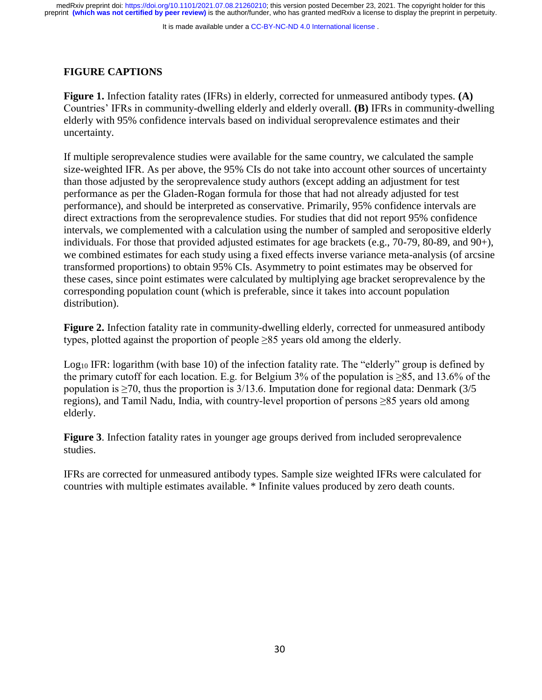It is made available under a [CC-BY-NC-ND 4.0 International license](http://creativecommons.org/licenses/by-nc-nd/4.0/) .

## **FIGURE CAPTIONS**

**Figure 1.** Infection fatality rates (IFRs) in elderly, corrected for unmeasured antibody types. **(A)**  Countries' IFRs in community-dwelling elderly and elderly overall. **(B)** IFRs in community-dwelling elderly with 95% confidence intervals based on individual seroprevalence estimates and their uncertainty.

If multiple seroprevalence studies were available for the same country, we calculated the sample size-weighted IFR. As per above, the 95% CIs do not take into account other sources of uncertainty than those adjusted by the seroprevalence study authors (except adding an adjustment for test performance as per the Gladen-Rogan formula for those that had not already adjusted for test performance), and should be interpreted as conservative. Primarily, 95% confidence intervals are direct extractions from the seroprevalence studies. For studies that did not report 95% confidence intervals, we complemented with a calculation using the number of sampled and seropositive elderly individuals. For those that provided adjusted estimates for age brackets (e.g., 70-79, 80-89, and 90+), we combined estimates for each study using a fixed effects inverse variance meta-analysis (of arcsine transformed proportions) to obtain 95% CIs. Asymmetry to point estimates may be observed for these cases, since point estimates were calculated by multiplying age bracket seroprevalence by the corresponding population count (which is preferable, since it takes into account population distribution).

**Figure 2.** Infection fatality rate in community-dwelling elderly, corrected for unmeasured antibody types, plotted against the proportion of people  $\geq 85$  years old among the elderly.

Log<sub>10</sub> IFR: logarithm (with base 10) of the infection fatality rate. The "elderly" group is defined by the primary cutoff for each location. E.g. for Belgium 3% of the population is  $\geq 85$ , and 13.6% of the population is  $\geq$ 70, thus the proportion is 3/13.6. Imputation done for regional data: Denmark (3/5) regions), and Tamil Nadu, India, with country-level proportion of persons ≥85 years old among elderly.

**Figure 3**. Infection fatality rates in younger age groups derived from included seroprevalence studies.

IFRs are corrected for unmeasured antibody types. Sample size weighted IFRs were calculated for countries with multiple estimates available. \* Infinite values produced by zero death counts.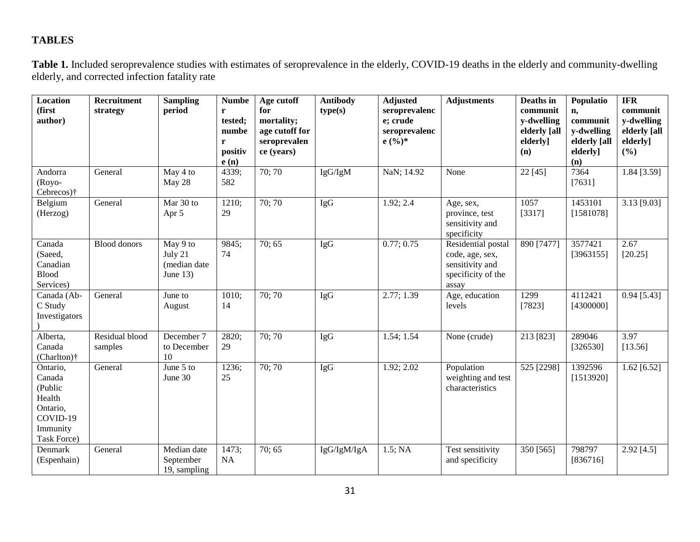# **TABLES**

**Table 1.** Included seroprevalence studies with estimates of seroprevalence in the elderly, COVID-19 deaths in the elderly and community-dwelling elderly, and corrected infection fatality rate

| Location<br>(first<br>author)                                                              | Recruitment<br>strategy   | <b>Sampling</b><br>period                         | <b>Numbe</b><br>r<br>tested;<br>numbe<br>r<br>positiv<br>e(n) | Age cutoff<br>for<br>mortality;<br>age cutoff for<br>seroprevalen<br>ce (years) | <b>Antibody</b><br>type(s) | <b>Adjusted</b><br>seroprevalenc<br>e; crude<br>seroprevalenc<br>$e($ %)* | <b>Adjustments</b>                                                                      | Deaths in<br>communit<br>y-dwelling<br>elderly [all<br>elderly]<br>(n) | Populatio<br>n,<br>communit<br>y-dwelling<br>elderly [all<br>elderly]<br>(n) | <b>IFR</b><br>communit<br>y-dwelling<br>elderly [all<br>elderly]<br>(%) |
|--------------------------------------------------------------------------------------------|---------------------------|---------------------------------------------------|---------------------------------------------------------------|---------------------------------------------------------------------------------|----------------------------|---------------------------------------------------------------------------|-----------------------------------------------------------------------------------------|------------------------------------------------------------------------|------------------------------------------------------------------------------|-------------------------------------------------------------------------|
| Andorra<br>$(Royo-$<br>Cebrecos) <sup>†</sup>                                              | General                   | May 4 to<br>May 28                                | 4339;<br>582                                                  | 70; 70                                                                          | IgG/IgM                    | NaN; 14.92                                                                | None                                                                                    | 22 [45]                                                                | 7364<br>[7631]                                                               | $1.84$ [3.59]                                                           |
| Belgium<br>(Herzog)                                                                        | General                   | Mar 30 to<br>Apr 5                                | 1210;<br>29                                                   | 70; 70                                                                          | <b>IgG</b>                 | 1.92; 2.4                                                                 | Age, sex,<br>province, test<br>sensitivity and<br>specificity                           | 1057<br>[3317]                                                         | 1453101<br>[1581078]                                                         | $3.13$ [9.03]                                                           |
| Canada<br>(Saeed,<br>Canadian<br><b>Blood</b><br>Services)                                 | <b>Blood donors</b>       | May 9 to<br>July 21<br>(median date<br>June $13)$ | 9845;<br>74                                                   | 70; 65                                                                          | <b>IgG</b>                 | 0.77; 0.75                                                                | Residential postal<br>code, age, sex,<br>sensitivity and<br>specificity of the<br>assay | 890 [7477]                                                             | 3577421<br>[3963155]                                                         | 2.67<br>[20.25]                                                         |
| Canada (Ab-<br>C Study<br>Investigators                                                    | General                   | June to<br>August                                 | 1010;<br>14                                                   | 70; 70                                                                          | <b>IgG</b>                 | 2.77; 1.39                                                                | Age, education<br>levels                                                                | 1299<br>[7823]                                                         | 4112421<br>[4300000]                                                         | $0.94$ [5.43]                                                           |
| Alberta,<br>Canada<br>(Charlton)†                                                          | Residual blood<br>samples | December 7<br>to December<br>10                   | 2820;<br>29                                                   | 70; 70                                                                          | <b>IgG</b>                 | 1.54; 1.54                                                                | None (crude)                                                                            | 213 [823]                                                              | 289046<br>[326530]                                                           | 3.97<br>[13.56]                                                         |
| Ontario,<br>Canada<br>(Public<br>Health<br>Ontario,<br>COVID-19<br>Immunity<br>Task Force) | General                   | June 5 to<br>June 30                              | 1236;<br>25                                                   | 70; 70                                                                          | IgG                        | 1.92; 2.02                                                                | Population<br>weighting and test<br>characteristics                                     | 525 [2298]                                                             | 1392596<br>[1513920]                                                         | $1.62$ [6.52]                                                           |
| Denmark<br>(Espenhain)                                                                     | General                   | Median date<br>September<br>19, sampling          | 1473;<br>NA                                                   | 70:65                                                                           | IgG/IgM/IgA                | $1.5$ ; NA                                                                | Test sensitivity<br>and specificity                                                     | 350 [565]                                                              | 798797<br>[836716]                                                           | $2.92$ [4.5]                                                            |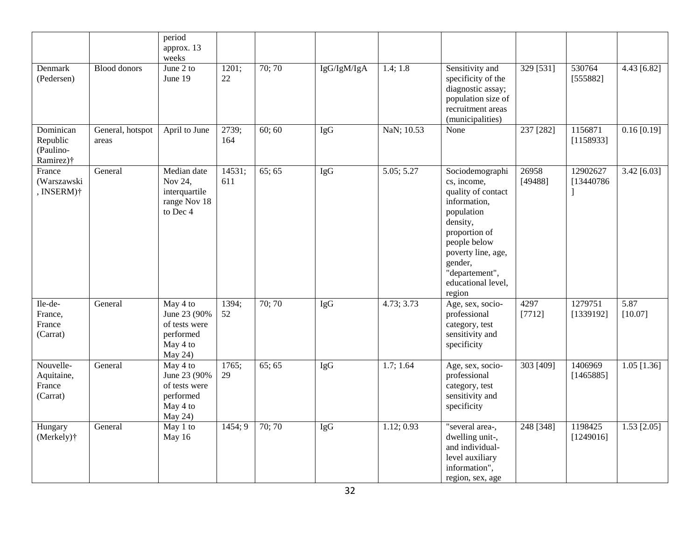|                                                 |                           | period<br>approx. 13<br>weeks                                                 |               |        |             |            |                                                                                                                                                                                                                    |                        |                        |                 |
|-------------------------------------------------|---------------------------|-------------------------------------------------------------------------------|---------------|--------|-------------|------------|--------------------------------------------------------------------------------------------------------------------------------------------------------------------------------------------------------------------|------------------------|------------------------|-----------------|
| Denmark<br>(Pedersen)                           | <b>Blood donors</b>       | June 2 to<br>June 19                                                          | 1201;<br>22   | 70;70  | IgG/IgM/IgA | 1.4; 1.8   | Sensitivity and<br>specificity of the<br>diagnostic assay;<br>population size of<br>recruitment areas<br>(municipalities)                                                                                          | 329 [531]              | 530764<br>[555882]     | 4.43 [6.82]     |
| Dominican<br>Republic<br>(Paulino-<br>Ramirez)† | General, hotspot<br>areas | April to June                                                                 | 2739;<br>164  | 60; 60 | <b>IgG</b>  | NaN; 10.53 | None                                                                                                                                                                                                               | $\overline{237}$ [282] | 1156871<br>[1158933]   | 0.16 [0.19]     |
| France<br>(Warszawski<br>, INSERM)†             | General                   | Median date<br>Nov 24,<br>interquartile<br>range Nov 18<br>to Dec 4           | 14531;<br>611 | 65; 65 | IgG         | 5.05; 5.27 | Sociodemographi<br>cs, income,<br>quality of contact<br>information,<br>population<br>density,<br>proportion of<br>people below<br>poverty line, age,<br>gender,<br>"departement",<br>educational level,<br>region | 26958<br>[49488]       | 12902627<br>[13440786] | $3.42$ [6.03]   |
| Ile-de-<br>France,<br>France<br>(Carrat)        | General                   | May 4 to<br>June 23 (90%<br>of tests were<br>performed<br>May 4 to<br>May 24) | 1394;<br>52   | 70;70  | <b>IgG</b>  | 4.73; 3.73 | Age, sex, socio-<br>professional<br>category, test<br>sensitivity and<br>specificity                                                                                                                               | 4297<br>[7712]         | 1279751<br>[1339192]   | 5.87<br>[10.07] |
| Nouvelle-<br>Aquitaine,<br>France<br>(Carrat)   | General                   | May 4 to<br>June 23 (90%<br>of tests were<br>performed<br>May 4 to<br>May 24) | 1765;<br>29   | 65:65  | <b>IgG</b>  | 1.7; 1.64  | Age, sex, socio-<br>professional<br>category, test<br>sensitivity and<br>specificity                                                                                                                               | 303 [409]              | 1406969<br>[1465885]   | $1.05$ [1.36]   |
| Hungary<br>(Merkely) <sup>†</sup>               | General                   | May 1 to<br>May 16                                                            | 1454; 9       | 70;70  | <b>IgG</b>  | 1.12; 0.93 | "several area-,<br>dwelling unit-,<br>and individual-<br>level auxiliary<br>information",<br>region, sex, age                                                                                                      | 248 [348]              | 1198425<br>[1249016]   | $1.53$ [2.05]   |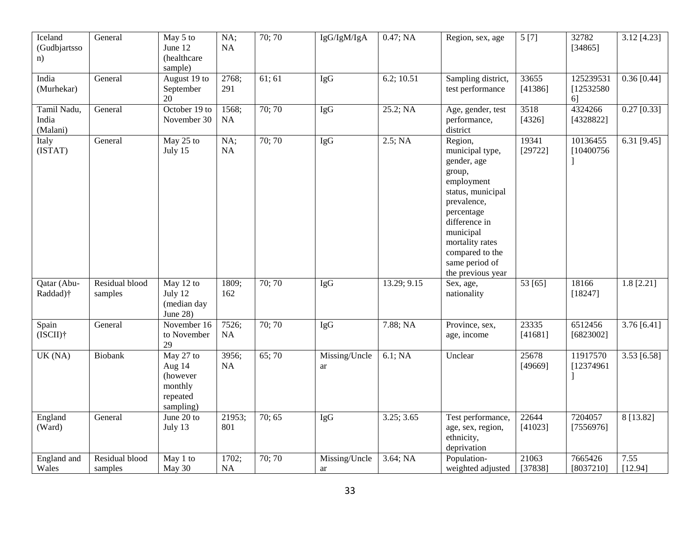| Iceland<br>(Gudbjartsso<br>n)    | General                   | May 5 to<br>June 12<br>(healthcare<br>sample)                       | NA;<br>NA     | 70; 70 | IgG/IgM/IgA         | 0.47; NA    | Region, sex, age                                                                                                                                                                                                               | 5[7]             | 32782<br>[34865]              | $\overline{3.12}$ [4.23] |
|----------------------------------|---------------------------|---------------------------------------------------------------------|---------------|--------|---------------------|-------------|--------------------------------------------------------------------------------------------------------------------------------------------------------------------------------------------------------------------------------|------------------|-------------------------------|--------------------------|
| India<br>(Murhekar)              | General                   | August 19 to<br>September<br>20                                     | 2768;<br>291  | 61; 61 | <b>IgG</b>          | 6.2; 10.51  | Sampling district,<br>test performance                                                                                                                                                                                         | 33655<br>[41386] | 125239531<br>[12532580]<br>61 | $0.36$ [0.44]            |
| Tamil Nadu,<br>India<br>(Malani) | General                   | October 19 to<br>November 30                                        | 1568;<br>NA   | 70;70  | <b>IgG</b>          | 25.2; NA    | Age, gender, test<br>performance,<br>district                                                                                                                                                                                  | 3518<br>[4326]   | 4324266<br>[4328822]          | $0.27$ [0.33]            |
| Italy<br>(ISTAT)                 | General                   | May 25 to<br>July 15                                                | NA;<br>NA     | 70; 70 | <b>IgG</b>          | 2.5; NA     | Region,<br>municipal type,<br>gender, age<br>group,<br>employment<br>status, municipal<br>prevalence,<br>percentage<br>difference in<br>municipal<br>mortality rates<br>compared to the<br>same period of<br>the previous year | 19341<br>[29722] | 10136455<br>[10400756]        | 6.31 $[9.45]$            |
| Qatar (Abu-<br>Raddad)†          | Residual blood<br>samples | May 12 to<br>July 12<br>(median day<br>June 28)                     | 1809;<br>162  | 70; 70 | <b>IgG</b>          | 13.29; 9.15 | Sex, age,<br>nationality                                                                                                                                                                                                       | 53 [65]          | 18166<br>[18247]              | $1.8$ [2.21]             |
| Spain<br>$(ISCII)$ †             | General                   | November 16<br>to November<br>29                                    | 7526;<br>NA   | 70;70  | <b>IgG</b>          | 7.88; NA    | Province, sex,<br>age, income                                                                                                                                                                                                  | 23335<br>[41681] | 6512456<br>[6823002]          | 3.76[6.41]               |
| UK(NA)                           | Biobank                   | May 27 to<br>Aug 14<br>(however<br>monthly<br>repeated<br>sampling) | 3956;<br>NA   | 65;70  | Missing/Uncle<br>ar | 6.1; NA     | Unclear                                                                                                                                                                                                                        | 25678<br>[49669] | 11917570<br>[12374961]        | $3.53$ [6.58]            |
| England<br>(Ward)                | General                   | June 20 to<br>July 13                                               | 21953;<br>801 | 70; 65 | IgG                 | 3.25; 3.65  | Test performance,<br>age, sex, region,<br>ethnicity,<br>deprivation                                                                                                                                                            | 22644<br>[41023] | 7204057<br>[7556976]          | 8 [13.82]                |
| England and<br>Wales             | Residual blood<br>samples | May 1 to<br>May 30                                                  | 1702;<br>NA   | 70; 70 | Missing/Uncle<br>ar | 3.64; NA    | Population-<br>weighted adjusted                                                                                                                                                                                               | 21063<br>[37838] | 7665426<br>[8037210]          | 7.55<br>[12.94]          |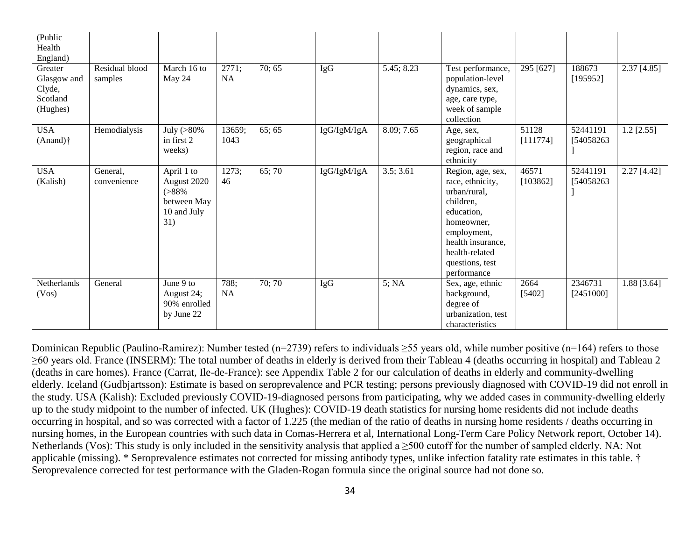| (Public<br>Health<br>England)                            |                           |                                                                              |                    |        |             |            |                                                                                                                                                                                        |                   |                        |               |
|----------------------------------------------------------|---------------------------|------------------------------------------------------------------------------|--------------------|--------|-------------|------------|----------------------------------------------------------------------------------------------------------------------------------------------------------------------------------------|-------------------|------------------------|---------------|
| Greater<br>Glasgow and<br>Clyde,<br>Scotland<br>(Hughes) | Residual blood<br>samples | March 16 to<br>May 24                                                        | 2771;<br><b>NA</b> | 70; 65 | IgG         | 5.45; 8.23 | Test performance,<br>population-level<br>dynamics, sex,<br>age, care type,<br>week of sample<br>collection                                                                             | 295 [627]         | 188673<br>[195952]     | $2.37$ [4.85] |
| <b>USA</b><br>$(Anand)$ †                                | Hemodialysis              | July $(>80\%$<br>in first 2<br>weeks)                                        | 13659;<br>1043     | 65; 65 | IgG/IgM/IgA | 8.09; 7.65 | Age, sex,<br>geographical<br>region, race and<br>ethnicity                                                                                                                             | 51128<br>[111774] | 52441191<br>[54058263] | $1.2$ [2.55]  |
| <b>USA</b><br>(Kalish)                                   | General,<br>convenience   | April 1 to<br>August 2020<br>$( > 88\%$<br>between May<br>10 and July<br>31) | 1273;<br>46        | 65;70  | IgG/IgM/IgA | 3.5; 3.61  | Region, age, sex,<br>race, ethnicity,<br>urban/rural,<br>children,<br>education,<br>homeowner,<br>employment,<br>health insurance,<br>health-related<br>questions, test<br>performance | 46571<br>[103862] | 52441191<br>[54058263] | $2.27$ [4.42] |
| Netherlands<br>(Vos)                                     | General                   | June 9 to<br>August 24;<br>90% enrolled<br>by June 22                        | 788;<br>NA         | 70; 70 | IgG         | 5; NA      | Sex, age, ethnic<br>background,<br>degree of<br>urbanization, test<br>characteristics                                                                                                  | 2664<br>[5402]    | 2346731<br>[2451000]   | 1.88 [3.64]   |

Dominican Republic (Paulino-Ramirez): Number tested (n=2739) refers to individuals  $\geq$ 55 years old, while number positive (n=164) refers to those ≥60 years old. France (INSERM): The total number of deaths in elderly is derived from their Tableau 4 (deaths occurring in hospital) and Tableau 2 (deaths in care homes). France (Carrat, Ile-de-France): see Appendix Table 2 for our calculation of deaths in elderly and community-dwelling elderly. Iceland (Gudbjartsson): Estimate is based on seroprevalence and PCR testing; persons previously diagnosed with COVID-19 did not enroll in the study. USA (Kalish): Excluded previously COVID-19-diagnosed persons from participating, why we added cases in community-dwelling elderly up to the study midpoint to the number of infected. UK (Hughes): COVID-19 death statistics for nursing home residents did not include deaths occurring in hospital, and so was corrected with a factor of 1.225 (the median of the ratio of deaths in nursing home residents / deaths occurring in nursing homes, in the European countries with such data in Comas-Herrera et al, International Long-Term Care Policy Network report, October 14). Netherlands (Vos): This study is only included in the sensitivity analysis that applied a ≥500 cutoff for the number of sampled elderly. NA: Not applicable (missing). \* Seroprevalence estimates not corrected for missing antibody types, unlike infection fatality rate estimates in this table. † Seroprevalence corrected for test performance with the Gladen-Rogan formula since the original source had not done so.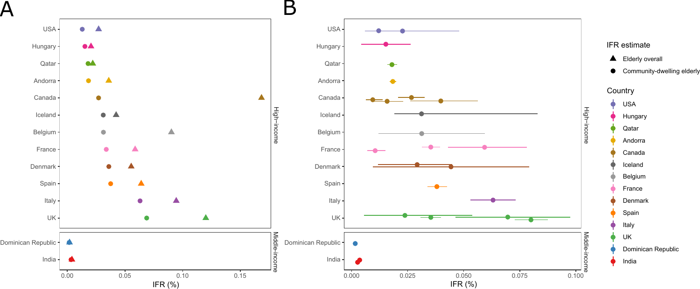$\boldsymbol{\mathsf{A}}$ 



B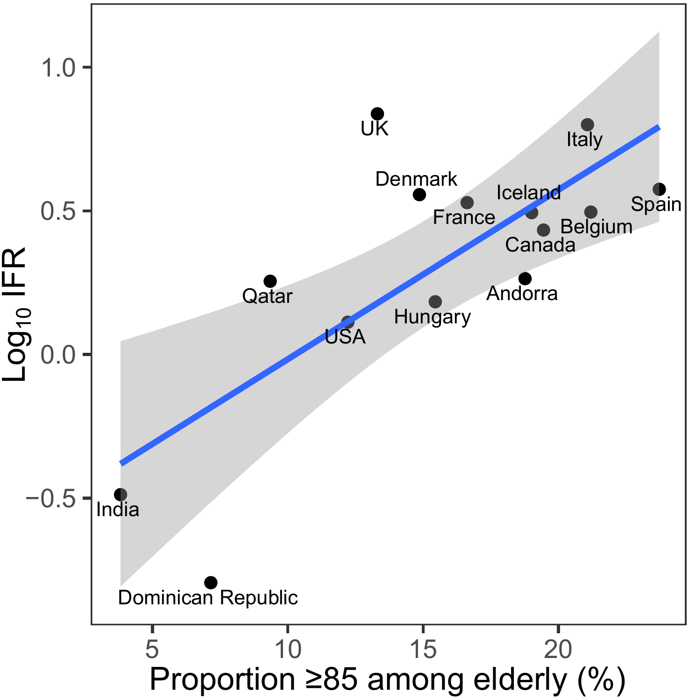